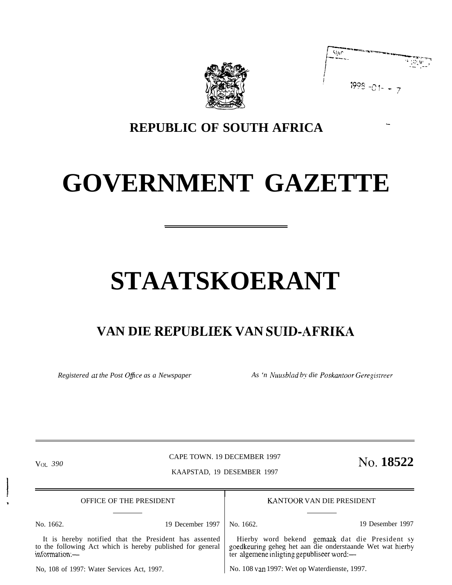

| Stjar |                 | $\mathcal{F}(\mathcal{H},\mathcal{Y})$ , |
|-------|-----------------|------------------------------------------|
|       | $1998 - 01 - -$ |                                          |

## **REPUBLIC OF SOUTH AFRICA**

# **GOVERNMENT GAZETTE**

# **STAATSKOERANT**

## **VAN DIE REPUBLIEK VAN SUID-AFRIKA**

*Registered at the Post Ojice as a Newspaper As 'n Nuu.sbiad by die Poskantoor Geregistreer*

CAPE TOWN. 19 DECEMBER 1997

VOL 390 **NO.** 18522

KAAPSTAD, 19 DESEMBER 1997

, OFFICE OF THE PRESIDENT

It is hereby notified that the President has assented to the following Act which is hereby published for general KANTOOR VAN DIE PRESIDENT

information:-

I

No. 1662. 19 December 1997

No. 1662. 19 Desember 1997

Hierby word bekend gemaak dat die President sy goedkeuring geheg het aan die onderstaande Wet wat hierby ter algemene inligting gepubliseer word:—

No, 108 of 1997: Water Services Act, 1997.

No. 108 van 1997: Wet op Waterdienste, 1997.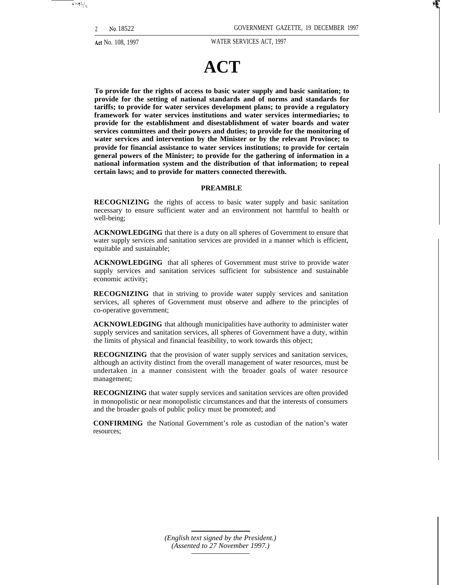2 **No.** 18522 GOVERNMENT GAZETTE, 19 DECEMBER 1997

Act No. 108, 1997 WATER SERVICES ACT, 1997

## **ACT**

**To provide for the rights of access to basic water supply and basic sanitation; to provide for the setting of national standards and of norms and standards for tariffs; to provide for water services development plans; to provide a regulatory framework for water services institutions and water services intermediaries; to provide for the establishment and disestablishment of water boards and water services committees and their powers and duties; to provide for the monitoring of water services and intervention by the Minister or by the relevant Province; to provide for financial assistance to water services institutions; to provide for certain general powers of the Minister; to provide for the gathering of information in a national information system and the distribution of that information; to repeal certain laws; and to provide for matters connected therewith.**

#### **PREAMBLE**

**RECOGNIZING** the rights of access to basic water supply and basic sanitation necessary to ensure sufficient water and an environment not harmful to health or well-being;

**ACKNOWLEDGING** that there is a duty on all spheres of Government to ensure that water supply services and sanitation services are provided in a manner which is efficient, equitable and sustainable;

**ACKNOWLEDGING** that all spheres of Government must strive to provide water supply services and sanitation services sufficient for subsistence and sustainable economic activity;

**RECOGNIZING** that in striving to provide water supply services and sanitation services, all spheres of Government must observe and adhere to the principles of co-operative government;

**ACKNOWLEDGING** that although municipalities have authority to administer water supply services and sanitation services, all spheres of Government have a duty, within the limits of physical and financial feasibility, to work towards this object;

**RECOGNIZING** that the provision of water supply services and sanitation services, although an activity distinct from the overall management of water resources, must be undertaken in a manner consistent with the broader goals of water resource management;

**RECOGNIZING** that water supply services and sanitation services are often provided in monopolistic or near monopolistic circumstances and that the interests of consumers and the broader goals of public policy must be promoted; and

**CONFIRMING** the National Government's role as custodian of the nation's water resources;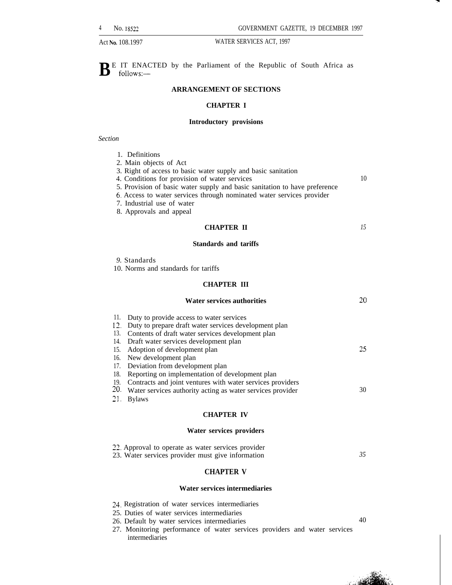$\mathbf{B}^{\text{E}}$  IT ENACTED by the Parliament of the Republic of South Africa as follows: follows:—

#### **ARRANGEMENT OF SECTIONS**

#### **CHAPTER I**

#### **Introductory provisions**

#### *Section*

| Definitions |
|-------------|
|             |
|             |

| 2. Main objects of Act |  |
|------------------------|--|
|------------------------|--|

- 3. Right of access to basic water supply and basic sanitation
- 4. Conditions for provision of water services
- 5. Provision of basic water supply and basic sanitation to have preference
- 6. Access to water services through nominated water services provider
- 7. Industrial use of water
- 8. Approvals and appeal

### **CHAPTER II**

*15*

10

#### **Standards and tariffs**

|  | 9. Standards |
|--|--------------|
|--|--------------|

10. Norms and standards for tariffs

#### **CHAPTER III**

|                                                                           | <b>Water services authorities</b>                                                                                                                                                                                                                                                                                                                                                                                                                                                          | 20       |
|---------------------------------------------------------------------------|--------------------------------------------------------------------------------------------------------------------------------------------------------------------------------------------------------------------------------------------------------------------------------------------------------------------------------------------------------------------------------------------------------------------------------------------------------------------------------------------|----------|
| 11.<br>12.<br>13.<br>14.<br>15.<br>16.<br>17.<br>18.<br>19.<br>20.<br>21. | Duty to provide access to water services<br>Duty to prepare draft water services development plan<br>Contents of draft water services development plan<br>Draft water services development plan<br>Adoption of development plan<br>New development plan<br>Deviation from development plan<br>Reporting on implementation of development plan<br>Contracts and joint ventures with water services providers<br>Water services authority acting as water services provider<br><b>Bylaws</b> | 25<br>30 |
|                                                                           | <b>CHAPTER IV</b>                                                                                                                                                                                                                                                                                                                                                                                                                                                                          |          |
|                                                                           | Water services providers                                                                                                                                                                                                                                                                                                                                                                                                                                                                   |          |
|                                                                           | 22. Approval to operate as water services provider                                                                                                                                                                                                                                                                                                                                                                                                                                         |          |

#### **CHAPTER V**

#### **Water services intermediaries**

z4, Registration of water services intermediaries

23. Water services provider must give information

- 25. Duties of water services intermediaries
- 26. Default by water services intermediaries 40
	-

*35*

27. Monitoring performance of water services providers and water services intermediaries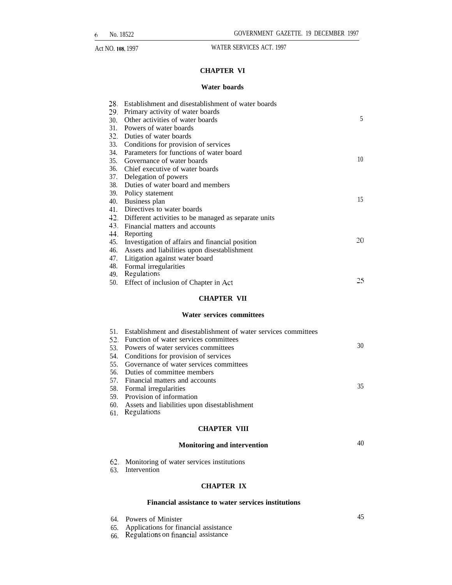#### **CHAPTER VI**

## **Water boards**

| 28.<br>29.<br>30.<br>31.               | Establishment and disestablishment of water boards<br>Primary activity of water boards<br>Other activities of water boards<br>Powers of water boards                                               | 5  |
|----------------------------------------|----------------------------------------------------------------------------------------------------------------------------------------------------------------------------------------------------|----|
| 32.<br>33.<br>34.<br>35.<br>36.<br>37. | Duties of water boards<br>Conditions for provision of services<br>Parameters for functions of water board<br>Governance of water boards<br>Chief executive of water boards<br>Delegation of powers | 10 |
| 38.<br>39.<br>40.<br>41.               | Duties of water board and members<br>Policy statement<br>Business plan<br>Directives to water boards                                                                                               | 15 |
| 42.<br>43.<br>44.<br>45.               | Different activities to be managed as separate units<br>Financial matters and accounts<br>Reporting<br>Investigation of affairs and financial position                                             | 20 |
| 46.<br>47.<br>48.<br>49.               | Assets and liabilities upon disestablishment<br>Litigation against water board<br>Formal irregularities<br>Regulations                                                                             |    |
| 50.                                    | Effect of inclusion of Chapter in Act<br><b>CHAPTER VII</b>                                                                                                                                        | 25 |
|                                        | Water services committees                                                                                                                                                                          |    |
| 53.                                    | 51. Establishment and disestablishment of water services committees<br>52. Function of water services committees<br>Powers of water services committees                                            | 30 |

- 
- 54. Conditions for provision of services 55. Governance of water services committees
- 56. Duties of committee members
- 57. Financial matters and accounts
- 58. Formal irregularities
- 59. Provision of information
- 60. Assets and liabilities upon disestablishment
- 61. Regulations

#### **CHAPTER VIII**

#### **Monitoring and intervention** 40

- 62. Monitoring of water services institutions
- 63. Intervention

#### **CHAPTER IX**

#### **Financial assistance to water services institutions**

- 64. Powers of Minister
- 65. Applications for financial assistance
- 66. Regulations on financial assistance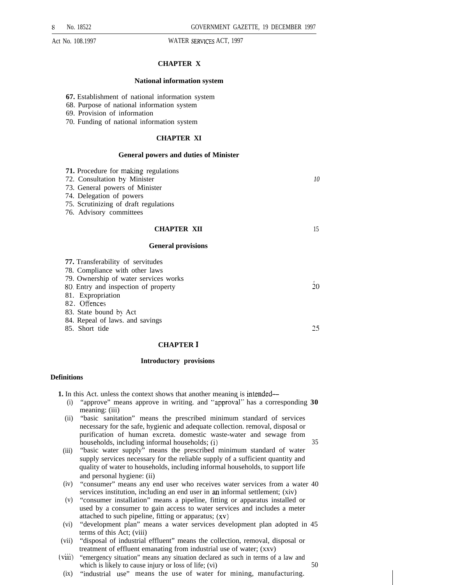#### **CHAPTER X**

#### **National information system**

**67.** Establishment of national information system

68. Purpose of national information system

- 69. Provision of information
- 70. Funding of national information system

#### **CHAPTER XI**

#### **General powers and duties of Minister**

| <b>71.</b> Procedure for making regulations<br>72. Consultation by Minister<br>73. General powers of Minister<br>74. Delegation of powers<br>75. Scrutinizing of draft regulations<br>76. Advisory committees | 10 |
|---------------------------------------------------------------------------------------------------------------------------------------------------------------------------------------------------------------|----|
| <b>CHAPTER XII</b><br><b>General provisions</b>                                                                                                                                                               | 15 |
|                                                                                                                                                                                                               |    |
| <b>77.</b> Transferability of servitudes                                                                                                                                                                      |    |
| 78. Compliance with other laws                                                                                                                                                                                |    |
| 79. Ownership of water services works                                                                                                                                                                         |    |
| 80. Entry and inspection of property                                                                                                                                                                          | 20 |
| 81. Expropriation                                                                                                                                                                                             |    |
| 82. Offences                                                                                                                                                                                                  |    |
| 83. State bound by Act                                                                                                                                                                                        |    |
| 84. Repeal of laws. and savings                                                                                                                                                                               |    |
| 85. Short tide                                                                                                                                                                                                | 25 |
|                                                                                                                                                                                                               |    |

#### **CHAPTER I**

#### **Introductory provisions**

#### **Definitions**

**1.** In this Act. unless the context shows that another meaning is intended—

- (i) "approve" means approve in writing. and "approval" has a corresponding 30 meaning: (iii)
- (ii) "basic sanitation" means the prescribed minimum standard of services necessary for the safe, hygienic and adequate collection. removal, disposal or purification of human excreta. domestic waste-water and sewage from households, including informal households; (i) 35
- (iii) "basic water supply" means the prescribed minimum standard of water supply services necessary for the reliable supply of a sufficient quantity and quality of water to households, including informal households, to support life and personal hygiene: (ii)
- (iv) "consumer" means any end user who receives water services from a water 40 services institution, including an end user in an informal settlement; (xiv)
- (v) "consumer installation" means a pipeline, fitting or apparatus installed or used by a consumer to gain access to water services and includes a meter attached to such pipeline, fitting or apparatus; (xv)
- (vi) "development plan" means a water services development plan adopted in 45 terms of this Act; (viii)
- (vii) "disposal of industrial effluent" means the collection, removal, disposal or treatment of effluent emanating from industrial use of water; (xxv)
- (viii) "emergency situation" means any situation declared as such in terms of a law and which is likely to cause injury or loss of life;  $(vi)$  50
- (ix) "industrial use" means the use of water for mining, manufacturing.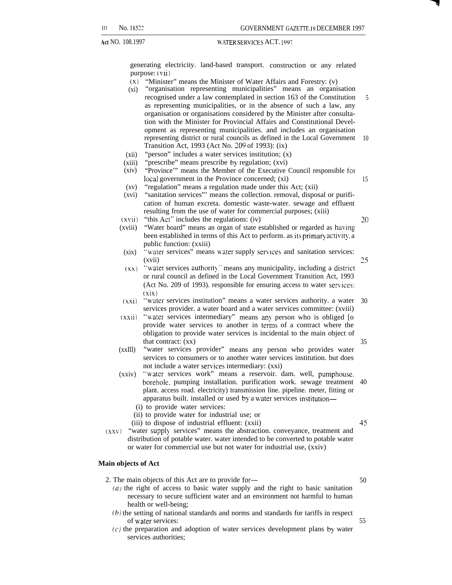generating electricity. land-based transport. construction or any related purpose: (vii)

- $(x)$  "Minister" means the Minister of Water Affairs and Forestry:  $(v)$
- $(xi)$ "organisation representing municipalities" means an organisation recognised under a law contemplated in section 163 of the Constitution as representing municipalities, or in the absence of such a law, any organisation or organisations considered by the Minister after consultation with the Minister for Provincial Affairs and Constitutional Development as representing municipalities. and includes an organisation representing district or rural councils as defined in the Local Government Transition Act, 1993 (Act No. 209 of 1993): (ix) 5 10
- $(xii)$ "person" includes a water services institution; (x)
- (xiii) "prescribe" means prescribe by regulation; (xvi)
- (xiv) "Province'" means the Member of the Executive Council responsible for local government in the Province concerned; (xi)
- $(xy)$ "regulation" means a regulation made under this Act; (xii)
- (xvi) "sanitation services"' means the collection. removal, disposal or purification of human excreta. domestic waste-water. sewage and effluent resulting from the use of water for commercial purposes; (xiii)
- $(xvii)$ "this  $Act$ " includes the regulations: (iv)

Z()

25

15

- (xviii) "Water board" means an organ of state established or regarded as having been established in terms of this Act to perform. as its primary activity, a public function: (xxiii)
- (xix) "water services" means water supply services and sanitation services: (xvii)
- $(xx)$  "water services authority" means any municipality, including a district or rural council as defined in the Local Government Transition Act, 1993 (Act No. 209 of 1993). responsible for ensuring access to water services: (xix)
- (xxi) "water services institution" means a water services authority. a water 30 services provider. a water board and a water services committee: (xviii)
- (xxii) "water services intermediary" means any person who is obliged [o provide water services to another in terms of a contract where the obligation to provide water services is incidental to the main object of that contract: (xx) 35
- (xxIll) "water services provider" means any person who provides water services to consumers or to another water services institution. but does not include a water services intermediary:  $(xxi)$
- (xxiv) "water services work" means a reservoir. dam. well, pumphouse. borehole. pumping installation. purification work. sewage treatment 40 plant. access road. electricity) transmission line. pipeline. meter, fitting or apparatus built. installed or used by a water services institution—
	- (i) to provide water services:
	- (ii) to provide water for industrial use; or
	- (iii) to dispose of industrial effluent: (xxii) 45
- $(xxy)$  "water supply services" means the abstraction. conveyance, treatment and distribution of potable water. water intended to be converted to potable water or water for commercial use but not water for industrial use, (xxiv)

#### **Main objects of Act**

- 2. The main objects of this Act are to provide for— 50
	- (a) the right of access to basic water supply and the right to basic sanitation necessary to secure sufficient water and an environment not harmful to human health or well-being;
	- (b) the setting of national standards and norms and standards for tariffs in respect of water services: 55
	- $(c)$  the preparation and adoption of water services development plans by water services authorities;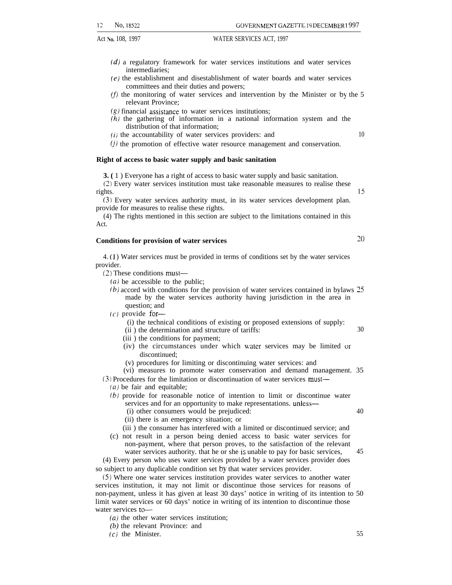12 No, 18522 GOVERNMENT GAZETTE. 19 DECEMBER 1997

- 
- (d) a regulatory framework for water services institutions and water services intermediaries;
- (e) the establishment and disestablishment of water boards and water services committees and their duties and powers;
- $(f)$  the monitoring of water services and intervention by the Minister or by the 5 relevant Province;
- $(g)$  financial assistance to water services institutions:
- (h) the gathering of information in a national information system and the distribution of that information;
- $(i)$  the accountability of water services providers: and  $10$
- $(1)$  the promotion of effective water resource management and conservation.

#### **Right of access to basic water supply and basic sanitation**

**3. (** 1 ) Everyone has a right of access to basic water supply and basic sanitation.

(2) Every water services institution must take reasonable measures to realise these rights. 15

(3) Every water services authority must, in its water services development plan. provide for measures to realise these rights.

(4) The rights mentioned in this section are subject to the limitations contained in this Act.

## **Conditions for provision of water services** 20

4. ( 1 ) Water services must be provided in terms of conditions set by the water services provider.

(2) These conditions must—

 $(a)$  be accessible to the public;

- (b) accord with conditions for the provision of water services contained in bylaws 25 made by the water services authority having jurisdiction in the area in question; and
- $(c)$  provide for-
	- (i) the technical conditions of existing or proposed extensions of supply:
	- (ii ) the determination and structure of tariffs: 30
	- (iii ) the conditions for payment;
	- (iv) the circumstances under which water services may be limited or discontinued;
	- (v) procedures for limiting or discontinuing water services: and
	- (vi) measures to promote water conservation and demand management. 35

(3) Procedures for the limitation or discontinuation of water services must—

- $(a)$  be fair and equitable;
- (b) provide for reasonable notice of intention to limit or discontinue water services and for an opportunity to make representations. unless—
	- (i) other consumers would be prejudiced: 40
	- (ii) there is an emergency situation; or

(iii ) the consumer has interfered with a limited or discontinued service; and

(c) not result in a person being denied access to basic water services for non-payment, where that person proves, to the satisfaction of the relevant water services authority, that he or she is unable to pay for basic services, 45

(4) Every person who uses water services provided by a water services provider does so subject to any duplicable condition set by that water services provider.

(5) Where one water services institution provides water services to another water services institution, it may not limit or discontinue those services for reasons of non-payment, unless it has given at least 30 days' notice in writing of its intention to 50 limit water services or 60 days' notice in writing of its intention to discontinue those water services to—

*(a)* the other water services institution;

- *(b)* the relevant Province: and
- (c) the Minister. 55

- 
- 
-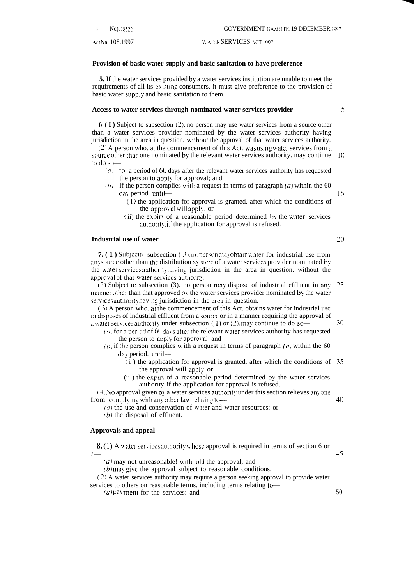,Act No. 108.1997 \\ 'tiTER SERVICES ,ACT. <sup>1997</sup>

#### **Provision of basic water supply and basic sanitation to have preference**

**5.** If the water services provided by a water services institution are unable to meet the requirements of all its existing consumers. it must give preference to the provision of basic water supply and basic sanitation to them.

#### **Access to water services through nominated water services provider**

**6. ( I )** Subject to subsection (2). no person may use water services from a source other than a water services provider nominated by the water services authority having jurisdiction in the area in question. without the approval of that water services authority.

(2) A person who. at the commencement of this Act. was using waler services from a source other than one nominated by the relevant water services authority. may continue to do so-10

- $f(a)$  for a period of 60 days after the relevant water services authority has requested the person to apply for approval; and
- $(b)$  if the person complies with a request in terms of paragraph  $(a)$  within the 60 day period. until-
	- $(i)$  the application for approval is granted. after which the conditions of the approval will apply; or
	- (ii) the expiry of a reasonable period determined by the water services authority, if the application for approval is refused.

#### **Industrial use of water**

**7. (1)** Subject to subsection (3), no person may obtain water for industrial use from any source other than the distribution sy stem of a water services provider nominated by the water services authority having jurisdiction in the area in question. without the approval of that water services authority.

 $(2)$  Subject to subsection (3). no person may dispose of industrial effluent in any manner other than that approved by the water services provider nominated by the water services authority having jurisdiction in the area in question. 25

( 3 ) A person who. at the commencement of this Act. obtains water for industrial usc or disposes of industrial effluent from a source or in a manner requiring the approval of a water services authority under subsection (1) or (2), may continue to do so—

 $(u)$  for a period of 60 days after the relevant water services authority has requested the person to apply for approval; and

 $(h)$  if the person complies with a request in terms of paragraph  $(a)$  within the 60 day period. until-

- t i ) the application for approval is granted. after which the conditions of 35 the approval will apply; or
- (ii ) the expir> of a reasonable period determined by the water services authority, if the application for approval is refused.

 $(4)$  No approval given by a water services authority under this section relieves anyone from complying with any other law relating to-

 $(a)$  the use and conservation of water and water resources: or

 $(b)$  the disposal of effluent.

#### **Approvals and appeal**

**8.** (1) A water services authority whose approval is required in terms of section 6 or  $l-$ 

 $(a)$  may not unreasonable! withhold the approval; and

 $(b)$  may give the approval subject to reasonable conditions.

 $(2)$  A water services authority may require a person seeking approval to provide water services to others on reasonable terms. including terms relating to—

 $(a)$  pay ment for the services: and

45

20

30

*40*

15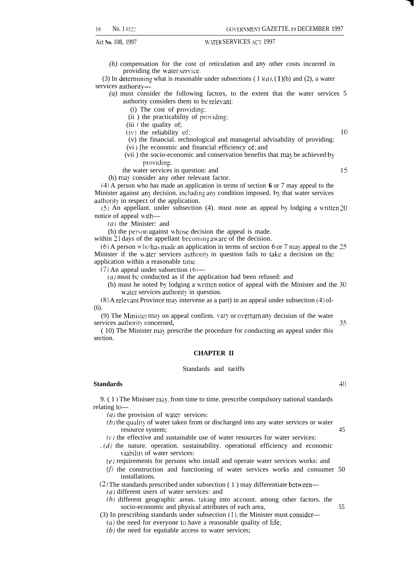16 No. 1 8522 GOVERNMENT GAZETTE. 19 DECEMBER 1997

Act No. 108, 1997 **Latter MERSERVICES** ACT. 1997

*(b)* compensation for the cost of reticulation and any other costs incurred in providing the water service.

(3) In determining what is reasonable under subsections ( I  $(a)$ , (1)(b) and (2), a water services authority—

*(a)* must consider the following factors, to the extent that the water services 5 authority considers them to be relevant:

 $(i)$  The cost of providing:

 $(ii)$  the practicability of providing:

 $(iii)$  the quality of;

 $(iv)$  the reliability of:  $10$ 

(v) the financial. technological and managerial advisability of providing:

- (vi ) [he economic and financial efficiency of: and
- (vii) the socio-economic and conservation benefits that may be achieved by providing.

the water services in question: and

(b) may consider any other relevant factor.

(4) A person who has made an application in terms of section **6** or 7 may appeal to the Minister against any decision. including any condition imposed. by that water services authority in respect of the application.

 $(5)$  An appellant. under subsection (4). must note an appeal by lodging a written 20 notice of appeal with—

*(a)* the Minister: and

(b) the person against whose decision the appeal is made.

within 21 days of the appellant becoming aware of the decision.

 $(6)$  A person who has made an application in terms of section 6 or 7 may appeal to the 25 Minister if the water services authority in question fails to take a decision on the application within a reasonable time.

 $(7)$  An appeal under subsection  $(6)$ —

 $(a)$  must be conducted as if the application had been refused: and

(b) must he noted by lodging a written notice of appeal with the Minister and the  $30$ water services authority in question.

 $(8)$  A relevant Province may intervene as a part) in an appeal under subsection  $(4)$  oI- $(6)$ 

(9) The Minister may on appeal confirm. vary or overturn any decision of the water services authority concerned, 35

(10) The Minister may prescribe the procedure for conducting an appeal under this section.

#### **CHAPTER II**

#### Standards and tariffs

#### **Standards 40**

9. ( 1 ) The Minister may. from time to time. prescribe compulsory national standards relating to—

 $(a)$  the provision of water services:

- $(b)$  the quality of water taken from or discharged into any water services or water resource system; 45
- $(c)$  the effective and sustainable use of water resources for water services:
- $(d)$  the nature. operation. sustainability. operational efficiency and economic viability of water services:
	- (e) requirements for persons who install and operate water services works: and
	- $(f)$  the construction and functioning of water services works and consumer 50 installations.

(2) The standards prescribed under subsection (1) may differentiate between—

- *(a)* different users of water services: and
- $(b)$  different geographic areas. taking into account. among other factors. the socio-economic and physical attributes of each area, 55
- (3) In prescribing standards under subsection (1). the Minister must consider—

 $(a)$  the need for everyone to have a reasonable quality of life;

 $(b)$  the need for equitable access to water services;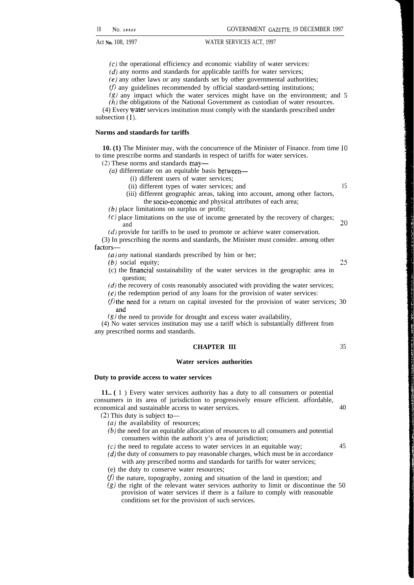$(c)$  the operational efficiency and economic viability of water services:

 $(d)$  any norms and standards for applicable tariffs for water services;

 $(e)$  any other laws or any standards set by other governmental authorities;

 $(f)$  any guidelines recommended by official standard-setting institutions;

 $(g)$  any impact which the water services might have on the environment; and 5

(h) the obligations of the National Government as custodian of water resources.

(4) Every Water services institution must comply with the standards prescribed under subsection  $(1)$ .

#### **Norms and standards for tariffs**

**10. (1)** The Minister may, with the concurrence of the Minister of Finance. from time 10 to time prescribe norms and standards in respect of tariffs for water services.

(2) These norms and standards may—

*(a)* differentiate on an equitable basis between—

- (i) different users of water services;
- (ii) different types of water services; and 15
- (iii) different geographic areas, taking into account, among other factors, the socio-economic and physical attributes of each area;

(b) place limitations on surplus or profit;

- $(c)$  place limitations on the use of income generated by the recovery of charges; and  $20$
- $(d)$  provide for tariffs to be used to promote or achieve water conservation.

(3) In prescribing the norms and standards, the Minister must consider. among other factors—

*(a) any* national standards prescribed by him or her;

(b) social equity; 25

- (c) the financial sustainability of the water services in the geographic area in question;
- $(d)$  the recovery of costs reasonably associated with providing the water services;
- $(e)$  the redemption period of any loans for the provision of water services:
- (f) the need for a return on capital invested for the provision of water services; 30 and
- $(g)$  the need to provide for drought and excess water availability,

(4) No water services institution may use a tariff which is substantially different from any prescribed norms and standards.

#### **CHAPTER III** 35

#### **Water services authorities**

#### **Duty to provide access to water services**

**11.. (** 1 ) Every water services authority has a duty to all consumers or potential consumers in its area of jurisdiction to progressively ensure efficient. affordable, economical and sustainable access to water services. 40

 $(2)$  This duty is subject to  $-$ 

- *(a)* the availability of resources;
- (b) the need for an equitable allocation of resources to all consumers and potential consumers within the authorit y's area of jurisdiction;
- $\epsilon$ ) the need to regulate access to water services in an equitable way:  $\epsilon$  45

 $(d)$  the duty of consumers to pay reasonable charges, which must be in accordance with any prescribed norms and standards for tariffs for water services;

(e) the duty to conserve water resources;

 $(f)$  the nature, topography, zoning and situation of the land in question; and

 $(g)$  the right of the relevant water services authority to limit or discontinue the 50 provision of water services if there is a failure to comply with reasonable conditions set for the provision of such services.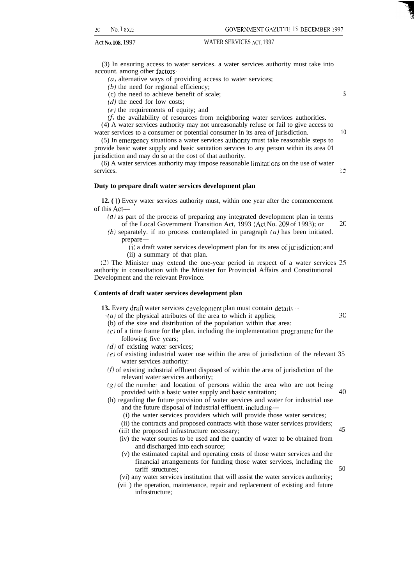(3) In ensuring access to water services. a water services authority must take into account. among other factors—

 $(a)$  alternative ways of providing access to water services;

 $(b)$  the need for regional efficiency;

(c) the need to achieve benefit of scale;

 $(d)$  the need for low costs;

 $(e)$  the requirements of equity; and

 $(f)$  the availability of resources from neighboring water services authorities.

(4) A water services authority may not unreasonably refuse or fail to give access to water services to a consumer or potential consumer in its area of jurisdiction.

(5) In emergency situations a water services authority must take reasonable steps to provide basic water supply and basic sanitation services to any person within its area 01 jurisdiction and may do so at the cost of that authority.

 $(6)$  A water services authority may impose reasonable limitations on the use of water services.

#### **Duty to prepare draft water services development plan**

**12.** (1) Every water services authority must, within one year after the commencement of this Act—

 $(a)$  as part of the process of preparing any integrated development plan in terms of the Local Government Transition Act, 1993 (Act No. 209 of 1993); or  $20$ 

(b) separately. if no process contemplated in paragraph  $(a)$  has been initiated. prepare—

 $(i)$  a draft water services development plan for its area of jurisdiction: and (ii) a summary of that plan.

(?) The Minister may extend the one-year period in respect of a water services 25 authority in consultation with the Minister for Provincial Affairs and Constitutional Development and the relevant Province.

#### **Contents of draft water services development plan**

13. Every draft water services development plan must contain details-

 $(a)$  of the physical attributes of the area to which it applies;

- (b) of the size and distribution of the population within that area:
- $(c)$  of a time frame for the plan. including the implementation programme for the following five years;
- $(d)$  of existing water services;
- $(e)$  of existing industrial water use within the area of jurisdiction of the relevant 35 water services authority:
- $(f)$  of existing industrial effluent disposed of within the area of jurisdiction of the relevant water services authority;
- $(g)$  of the number and location of persons within the area who are not being provided with a basic water supply and basic sanitation; 40
- (h) regarding the future provision of water services and water for industrial use and the future disposal of industrial effluent. including—
	- (i) the water services providers which will provide those water services;
	- (ii) the contracts and proposed contracts with those water services providers;
	- (iii) the proposed infrastructure necessary; 45
	- (iv) the water sources to be used and the quantity of water to be obtained from and discharged into each source;
	- (v) the estimated capital and operating costs of those water services and the financial arrangements for funding those water services, including the tariff structures; 50

(vi) any water services institution that will assist the water services authority;

(vii ) the operation, maintenance, repair and replacement of existing and future infrastructure;

**5**

10

15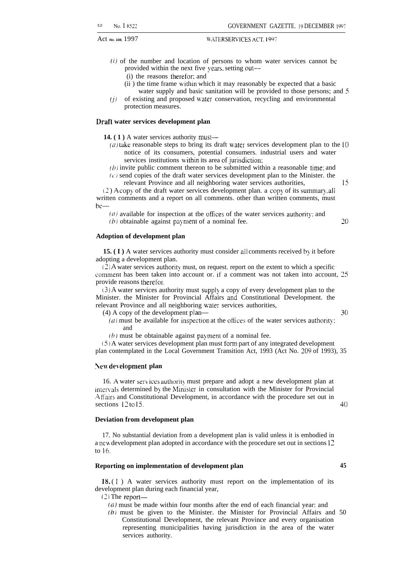- $(i)$  of the number and location of persons to whom water services cannot be provided within the next five years, setting out—
	- (i) the reasons therefor: and
	- (ii ) the time frame uithin which it may reasonably be expected that a basic water supply and basic sanitation will be provided to those persons; and 5
- $(j)$  of existing and proposed water conservation, recycling and environmental protection measures.

#### **Draft water services development plan**

**14.** (1) A water services authority must—

- (a) take reasonable steps to bring its draft water services development plan to the  $10$ notice of its consumers, potential consumers. industrial users and water services institutions within its area of jurisdiction;
- $(b)$  invite public comment thereon to be submitted within a reasonable time; and  $(c)$  send copies of the draft water services development plan to the Minister. the
- relevant Province and all neighboring water services authorities, 15

- $(2)$  A copy of the draft water services development plan. a copy of its summary, all written comments and a report on all comments. other than written comments, must be—
	- $(a)$  available for inspection at tbe offices of the water services authority; and
	- $(b)$  obtainable against payment of a nominal fee.  $20$

#### **Adoption of development plan**

**15. (I)** A water services authority must consider all comments received by it before adopting a development plan.

 $(2)$  A water services authority must, on request. report on the extent to which a specific comment has been taken into account or. if a comment was not taken into account, 25 provide reasons therefor.

 $(3)$  A water services authority must supply a copy of every development plan to the Minister. the Minister for Provincial Affairs and Constitutional Development. the relevant Province and all neighboring water services authorities,

(4) A copy of the development plan— 30

- $(a)$  must be available for inspection at the offices of the water services authority: and
- $(b)$  must be obtainable against payment of a nominal fee.

 $(5)$  A water services development plan must form part of any integrated development plan contemplated in the Local Government Transition Act, 1993 (Act No. 209 of 1993), 35

#### **~e~f de~elopment plan**

16. A water services authority must prepare and adopt a new development plan at intervals determined by the Minister in consultation with the Minister for Provincial Affairs and Constitutional Development, in accordance with the procedure set out in sections 12 to 15, 40

#### **Deviation from development plan**

17. No substantial deviation from a development plan is valid unless it is embodied in a new development plan adopted in accordance with the procedure set out in sections 12 to 16.

#### **Reporting on implementation of development plan 45**

18. (1) A water services authority must report on the implementation of its development plan during each financial year,

(2) The report—

 $(a)$  must be made within four months after the end of each financial year: and

(b) must be given to the Minister. the Minister for Provincial Affairs and 50 Constitutional Development, the relevant Province and every organisation representing municipalities having jurisdiction in the area of the water services authority.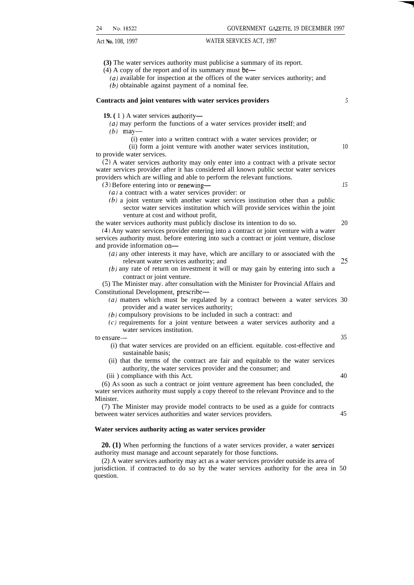**(3)** The water services authority must publicise a summary of its report.

(4) A copy of the report and of its summary must be—

(a) available for inspection at the offices of the water services authority; and  $(b)$  obtainable against payment of a nominal fee.

#### **Contracts and joint ventures with water services providers** *5*

**19. (** 1 ) A water services authority—

 $(a)$  may perform the functions of a water services provider itself; and

 $(b)$  may-

(i) enter into a written contract with a water services provider; or

(ii) form a joint venture with another water services institution, 10 to provide water services.

(2) A water services authority may only enter into a contract with a private sector water services provider after it has considered all known public sector water services providers which are willing and able to perform the relevant functions.

(3) Before entering into or renewing—

*(a)* a contract with a water services provider: or

(b) a joint venture with another water services institution other than a public sector water services institution which will provide services within the joint venture at cost and without profit,

the water services authority must publicly disclose its intention to do so. 20

(4) Any water services provider entering into a contract or joint venture with a water services authority must. before entering into such a contract or joint venture, disclose and provide information on—

- *(a)* any other interests it may have, which are ancillary to or associated with the relevant water services authority; and 25
- $(b)$  any rate of return on investment it will or may gain by entering into such a contract or joint venture.

(5) The Minister may. after consultation with the Minister for Provincial Affairs and Constitutional Development, prescribe—

- *(a)* matters which must be regulated by a contract between a water services 30 provider and a water services authority;
- (b) compulsory provisions to be included in such a contract: and
- (c) requirements for a joint venture between a water services authority and a water services institution.

to ensure— 35

- (i) that water services are provided on an efficient. equitable. cost-effective and sustainable basis;
- (ii) that the terms of the contract are fair and equitable to the water services authority, the water services provider and the consumer; and
- (iii) compliance with this Act. 40

(6) AS soon as such a contract or joint venture agreement has been concluded, the water services authority must supply a copy thereof to the relevant Province and to the Minister.

(7) The Minister may provide model contracts to be used as a guide for contracts between water services authorities and water services providers. 45

#### **Water services authority acting as water services provider**

**20. (1)** When performing the functions of a water services provider, a water services authority must manage and account separately for those functions.

(2) A water services authority may act as a water services provider outside its area of jurisdiction. if contracted to do so by the water services authority for the area in 50 question.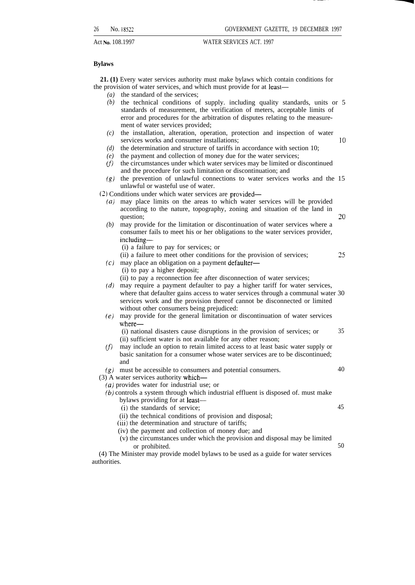. .

Act **No.** 108.1997 WATER SERVICES ACT. 1997

#### **Bylaws**

**21. (1)** Every water services authority must make bylaws which contain conditions for the provision of water services, and which must provide for at least—

- *(a)* the standard of the services;
- *(b)* the technical conditions of supply. including quality standards, units or 5 standards of measurement, the verification of meters, acceptable limits of error and procedures for the arbitration of disputes relating to the measurement of water services provided;
- *(c)* the installation, alteration, operation, protection and inspection of water services works and consumer installations; *10*
- *(d)* the determination and structure of tariffs in accordance with section 10;
- *(e)* the payment and collection of money due for the water services;
- *m* the circumstances under which water services may be limited or discontinued and the procedure for such limitation or discontinuation; and
- *(s)* the prevention of unlawful connections to water services works and the 15 unlawful or wasteful use of water.

(2) Conditions under which water services are provided—

- *(a)* may place limits on the areas to which water services will be provided according to the nature, topography, zoning and situation of the land in  $\alpha$  question;  $\qquad \qquad \qquad 20$
- *(b)* may provide for the limitation or discontinuation of water services where a consumer fails to meet his or her obligations to the water services provider, including—
	- (i) a failure to pay for services; or
- (ii) a failure to meet other conditions for the provision of services; '75
- *(c)* may place an obligation on a payment defaulter—
	- (i) to pay a higher deposit;
- (ii) to pay a reconnection fee after disconnection of water services;
- *(d)* may require a payment defaulter to pay a higher tariff for water services, where that defaulter gains access to water services through a communal water 30 services work and the provision thereof cannot be disconnected or limited without other consumers being prejudiced:
- *(e)* may provide for the general limitation or discontinuation of water services where-
	- (i) national disasters cause disruptions in the provision of services; or (ii) sufficient water is not available for any other reason; 35
- *(f)* may include an option to retain limited access to at least basic water supply or basic sanitation for a consumer whose water services are to be discontinued; and
- *(g)* must be accessible to consumers and potential consumers. 40
- (3) A water services authority which—
	- *(a)* provides water for industrial use; or
	- *(b)* controls a system through which industrial effluent is disposed of. must make bylaws providing for at least—
		- (i) the standards of service;
		- (ii) the technical conditions of provision and disposal;
		- (iii) the determination and structure of tariffs;
		- (iv) the payment and collection of money due; and
		- (v) the circumstances under which the provision and disposal may be limited or prohibited. 50

(4) The Minister may provide model bylaws to be used as a guide for water services authorities.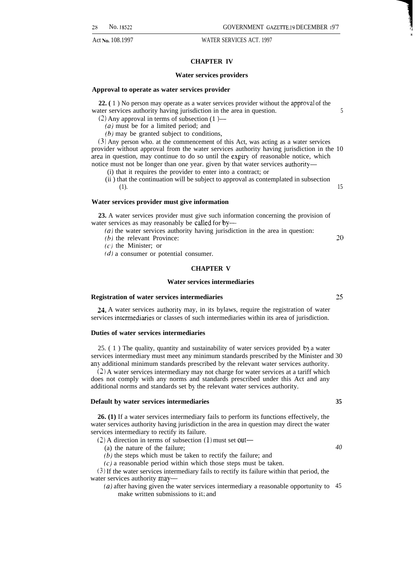#### **CHAPTER IV**

#### **Water services providers**

#### **Approval to operate as water services provider**

**22.** (1) No person may operate as a water services provider without the approval of the water services authority having jurisdiction in the area in question. 5

 $(2)$  Any approval in terms of subsection  $(1)$ —

 $(a)$  must be for a limited period; and

(b) may be granted subject to conditions,

(3) Any person who. at the commencement of this Act, was acting as a water services provider without approval from the water services authority having jurisdiction in the 10 area in question, may continue to do so until the expiry of reasonable notice, which notice must not be longer than one year. given by that water services authority—

(i) that it requires the provider to enter into a contract; or

(ii ) that the continuation will be subject to approval as contemplated in subsection  $(1).$  15

#### **Water services provider must give information**

**23.** A water services provider must give such information concerning the provision of water services as may reasonably be called for by-

(a) the water services authority having jurisdiction in the area in question:

 $(b)$  the relevant Province:

 $(c)$  the Minister; or

 $(d)$  a consumer or potential consumer.

#### **CHAPTER V**

#### **Water services intermediaries**

#### **Registration of water services intermediaries**

24. A water services authority may, in its bylaws, require the registration of water services intermediaries or classes of such intermediaries within its area of jurisdiction.

#### **Duties of water services intermediaries**

25. ( 1 ) The quality, quantity and sustainability of water services provided b} a water services intermediary must meet any minimum standards prescribed by the Minister and 30 any additional minimum standards prescribed by the relevant water services authority.

(2) A water services intermediary may not charge for water services at a tariff which does not comply with any norms and standards prescribed under this Act and any additional norms and standards set by the relevant water services authority.

#### **Default by water services intermediaries 35**

**26. (1)** If a water services intermediary fails to perform its functions effectively, the water services authority having jurisdiction in the area in question may direct the water services intermediary to rectify its failure.

 $(2)$  A direction in terms of subsection  $(1)$  must set out—

(a) the nature of the failure;

 $(b)$  the steps which must be taken to rectify the failure; and

 $(c)$  a reasonable period within which those steps must be taken.

(3) If the water services intermediary fails to rectify its failure within that period, the water services authority may—

*(a)* after having given the water services intermediary a reasonable opportunity to 45make written submissions to it: and

25

20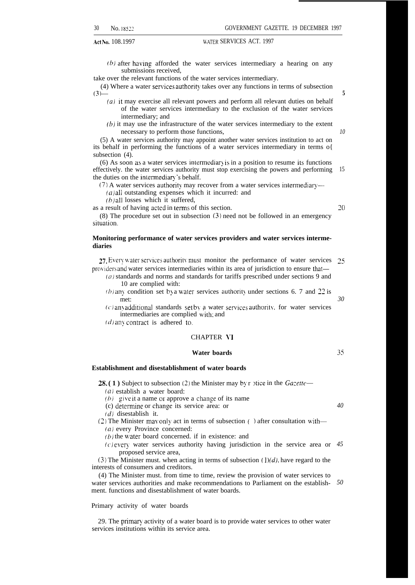$(b)$  after having afforded the water services intermediary a hearing on any submissions received,

take over the relevant functions of the water services intermediary.

(4) Where a water services authority takes over any functions in terms of subsection  $(3)$ 

- *(a)* it may exercise all relevant powers and perform all relevant duties on behalf of the water services intermediary to the exclusion of the water services intermediary; and
- $(b)$  it may use the infrastructure of the water services intermediary to the extent necessary to perform those functions,

(5) A water services authority may appoint another water services institution to act on its behalf in performing the functions of a water services intermediary in terms o{ subsection  $(4)$ .

(6) As soon as a water services intermediary is in a position to resume its functions effectively. the water services authority must stop exercising the powers and performing the duties on the intermediary's behalf. 15

 $(7)$  A water services authority may recover from a water services intermediary—

 $(a)$  all outstanding expenses which it incurred: and

 $(b)$  all losses which it suffered,

as a result of having acted in terms of this section.

'70

**5**

*10*

(8) The procedure set out in subsection (3) need not be followed in an emergency situation.

#### **Monitoring performance of water services providers and water services intermediaries**

27. Every water services authority must monitor the performance of water services 25 providers and water services intermediaries within its area of jurisdiction to ensure that—

- (a) standards and norms and standards for tariffs prescribed under sections 9 and 10 are complied with:
- $(b)$  any condition set by a water services authority under sections 6. 7 and 22 is met:

 $(c)$  any additional standards set by a water services authority, for water services intermediaries are complied with; and

 $(d)$  any contract is adhered to.

#### CHAPTER VI

#### **Water boards**

**Establishment and disestablishment of water boards**

**28. (1)** Subject to subsection (2) the Minister may by r ptice in the *Gazette*—

 $(a)$  establish a water board:

(b) give it a name or approve a change of its name

(c) determine or change its service area: or

(d) disestablish it.

(2) The Minister may only act in terms of subsection () after consultation with-

(a) every Province concerned:

 $(b)$  the water board concerned. if in existence: and

 $(c)$  every water services authority having jurisdiction in the service area or  $45$ proposed service area,

(3) The Minister must. when acting in terms of subsection  $(1)(d)$ , have regard to the interests of consumers and creditors.

(4) The Minister must. from time to time, review the provision of water services to water services authorities and make recommendations to Parliament on the establish-*50*ment. functions and disestablishment of water boards.

#### Primary activity of water boards

29. The primary activity of a water board is to provide water services to other water services institutions within its service area.

**35**

*40*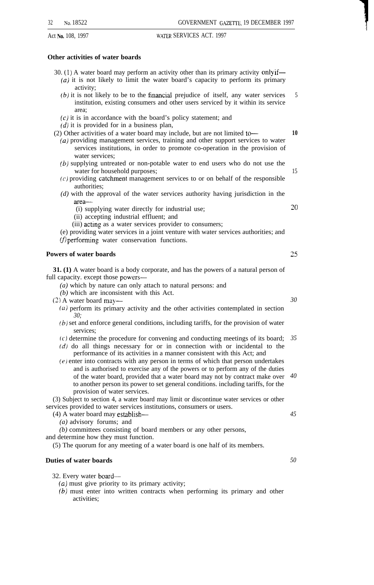#### **Other activities of water boards**

30. (1) A water board may perform an activity other than its primary activity only if— *(a)* it is not likely to limit the water board's capacity to perform its primary

- activity;
- $(b)$  it is not likely to be to the financial prejudice of itself, any water services institution, existing consumers and other users serviced by it within its service area; 5
- $(c)$  it is in accordance with the board's policy statement; and
- $(d)$  it is provided for in a business plan,

(2) Other activities of a water board may include, but are not limited to-

- *(a)* providing management services, training and other support services to water services institutions, in order to promote co-operation in the provision of water services;
- (b) supplying untreated or non-potable water to end users who do not use the water for household purposes;
- $(c)$  providing catchment management services to or on behalf of the responsible authorities;
- *(d)* with the approval of the water services authority having jurisdiction in the area—
	- (i) supplying water directly for industrial use;
	- (ii) accepting industrial effluent; and
	- (iii) acting as a water services provider to consumers;
- (e) providing water services in a joint venture with water services authorities; and  $(f)$  performing water conservation functions.

#### **Powers of water boards**

**31. (1)** A water board is a body corporate, and has the powers of a natural person of full capacity. except those powers—

- *(a)* which by nature can only attach to natural persons: and
- *(b)* which are inconsistent with this Act.
- (2) A water board may—
	- (u) perform its primary activity and the other activities contemplated in section *30;*
	- *(b)* set and enforce general conditions, including tariffs, for the provision of water services;
	- (c) determine the procedure for convening and conducting meetings of its board; *35*
	- *(d)* do all things necessary for or in connection with or incidental to the performance of its activities in a manner consistent with this Act; and
	- (e) enter into contracts with any person in terms of which that person undertakes and is authorised to exercise any of the powers or to perform any of the duties of the water board, provided that a water board may not by contract make over *40* to another person its power to set general conditions. including tariffs, for the provision of water services.

(3) Subject to section 4, a water board may limit or discontinue water services or other services provided to water services institutions, consumers or users.

- (4) A water board may establish—
	- *(a)* advisory forums; and
	- *(b)* committees consisting of board members or any other persons,

and determine how they must function.

(5) The quorum for any meeting of a water board is one half of its members.

#### **Duties of water boards**

32. Every water board—

- (a) must give priority to its primary activity;
- *(b)* must enter into written contracts when performing its primary and other activities;

25

**10**

15

~()

*30*

- 
- 
- *50*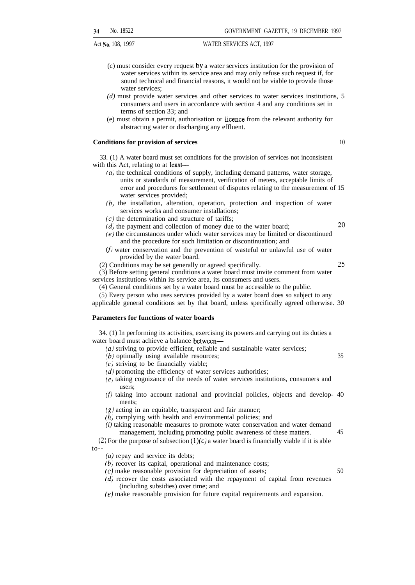- (c) must consider every request by a water services institution for the provision of water services within its service area and may only refuse such request if, for sound technical and financial reasons, it would not be viable to provide those water services;
- *(d)* must provide water services and other services to water services institutions, 5 consumers and users in accordance with section 4 and any conditions set in terms of section 33; and
- (e) must obtain a permit, authorisation or licence from the relevant authority for abstracting water or discharging any effluent.

#### **Conditions for provision of services** 10

33. (1) A water board must set conditions for the provision of services not inconsistent with this Act, relating to at **least—** 

- *(a)* the technical conditions of supply, including demand patterns, water storage, units or standards of measurement, verification of meters, acceptable limits of error and procedures for settlement of disputes relating to the measurement of 15 water services provided;
- $(b)$  the installation, alteration, operation, protection and inspection of water services works and consumer installations;
- $(c)$  the determination and structure of tariffs;  $(d)$  the payment and collection of money due to the water board;  $20$ 
	-

35

- $(e)$  the circumstances under which water services may be limited or discontinued and the procedure for such limitation or discontinuation; and
- (f) water conservation and the prevention of wasteful or unlawful use of water provided by the water board.
- (2) Conditions may be set generally or agreed specifically. 25

(3) Before setting general conditions a water board must invite comment from water services institutions within its service area, its consumers and users.

(4) General conditions set by a water board must be accessible to the public.

(5) Every person who uses services provided by a water board does so subject to any applicable general conditions set by that board, unless specifically agreed otherwise. 30

#### **Parameters for functions of water boards**

34. (1) In performing its activities, exercising its powers and carrying out its duties a water board must achieve a balance between—

- *(a)* striving to provide efficient, reliable and sustainable water services;
- (b) optimally using available resources;
- $(c)$  striving to be financially viable;
- $(d)$  promoting the efficiency of water services authorities;
- (e) taking cognizance of the needs of water services institutions, consumers and users;
- (f) taking into account national and provincial policies, objects and develop- 40 ments;
- $(g)$  acting in an equitable, transparent and fair manner;
- (h) complying with health and environmental policies; and

*(i)* taking reasonable measures to promote water conservation and water demand management, including promoting public awareness of these matters. 45

(2) For the purpose of subsection  $(1)(c)$  a water board is financially viable if it is able  $to -$ 

- *(a)* repay and service its debts;
- (b) recover its capital, operational and maintenance costs;
- $(c)$  make reasonable provision for depreciation of assets;  $50$
- *(d)* recover the costs associated with the repayment of capital from revenues (including subsidies) over time; and
- (e) make reasonable provision for future capital requirements and expansion.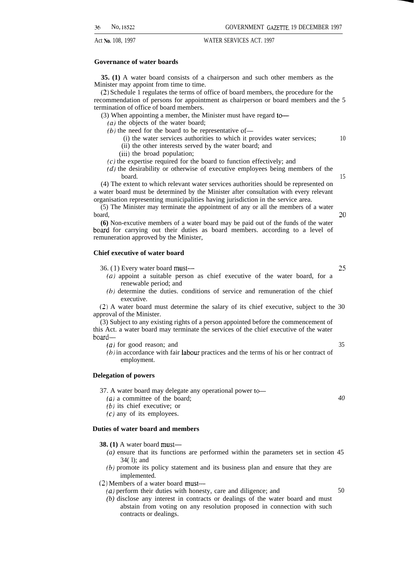#### **Governance of water boards**

**35. (1)** A water board consists of a chairperson and such other members as the Minister may appoint from time to time.

(2) Schedule 1 regulates the terms of office of board members, the procedure for the recommendation of persons for appointment as chairperson or board members and the 5 termination of office of board members.

(3) When appointing a member, the Minister must have regard to-

*(a)* the objects of the water board;

- $(b)$  the need for the board to be representative of-
	- (i) the water services authorities to which it provides water services; 10 (ii) the other interests served by the water board; and
	- (iii) the broad population;
- $(c)$  the expertise required for the board to function effectively; and
- (d) the desirability or otherwise of executive employees being members of the board. 15

(4) The extent to which relevant water services authorities should be represented on a water board must be determined by the Minister after consultation with every relevant organisation representing municipalities having jurisdiction in the service area.

(5) The Minister may terminate the appointment of any or all the members of a water board, **20**

**(6)** Non-excutive members of a water board may be paid out of the funds of the water bead for carrying out their duties as board members. according to a level of remuneration approved by the Minister,

#### **Chief executive of water board**

36. ( 1 ) Every water board must— 25

- *(a)* appoint a suitable person as chief executive of the water board, for a renewable period; and
- (b) determine the duties. conditions of service and remuneration of the chief executive.

(2) A water board must determine the salary of its chief executive, subject to the 30 approval of the Minister.

(3) Subject to any existing rights of a person appointed before the commencement of this Act. a water board may terminate the services of the chief executive of the water board—

*(a)* for good reason; and 35

(b) in accordance with fair labour practices and the terms of his or her contract of employment.

#### **Delegation of powers**

- 37. A water board may delegate any operational power to-
	- *(a)* a committee of the board;
	- (b) its chief executive; or
	- $(c)$  any of its employees.

#### **Duties of water board and members**

- **38. (1)** A water board must—
	- *(a)* ensure that its functions are performed within the parameters set in section 45 34( l); and
	- (b) promote its policy statement and its business plan and ensure that they are implemented.
- (2) Members of a water board must—
	- *(a)* perform their duties with honesty, care and diligence; and 50
	- *(b)* disclose any interest in contracts or dealings of the water board and must abstain from voting on any resolution proposed in connection with such contracts or dealings.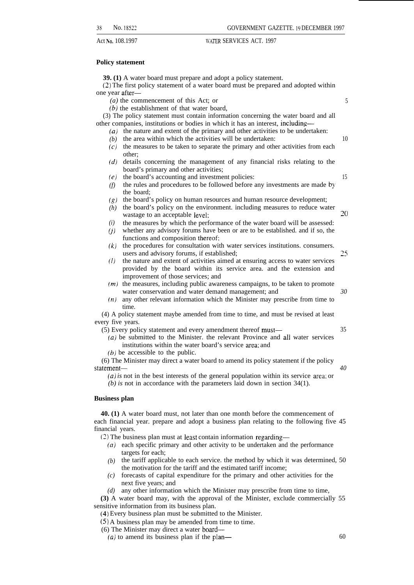#### **Policy statement**

**39. (1)** A water board must prepare and adopt a policy statement.

(2) The first policy statement of a water board must be prepared and adopted within one year after—

- *(a)* the commencement of this Act; or
- $(b)$  the establishment of that water board,

(3) The policy statement must contain information concerning the water board and all other companies, institutions or bodies in which it has an interest, including—

- *(a)* the nature and extent of the primary and other activities to be undertaken:
	- $(b)$  the area within which the activities will be undertaken:  $10$
	- *(c)* the measures to be taken to separate the primary and other activities from each other;
	- *(d)* details concerning the management of any financial risks relating to the board's primary and other activities;
	- *(e)* the board's accounting and investment policies: 15
	- *(f)* the rules and procedures to be followed before any investments are made by the board;
	- *(g)* the board's policy on human resources and human resource development;
	- *(h)* the board's policy on the environment. including measures to reduce water wastage to an acceptable level;  $20$
	- *(i)* the measures by which the performance of the water board will be assessed:
	- *(j)* whether any advisory forums have been or are to be established. and if so, the functions and composition thereof;
	- *(k)* the procedures for consultation with water services institutions. consumers. users and advisory forums, if established; 25
	- *(1)* the nature and extent of activities aimed at ensuring access to water services provided by the board within its service area. and the extension and improvement of those services; and
	- *(m)* the measures, including public awareness campaigns, to be taken to promote water conservation and water demand management; and *30*
	- *(n)* any other relevant information which the Minister may prescribe from time to time.

(4) A policy statement maybe amended from time to time, and must be revised at least every five years.

- (5) Every policy statement and every amendment thereof must— 35
	- *(a)* be submitted to the Minister. the relevant Province and all water services institutions within the water board's service area: and

 $(b)$  be accessible to the public.

(6) The Minister may direct a water board to amend its policy statement if the policy statement— *40*

*(a) is* not in the best interests of the general population within its service area: or

*(b) is* not in accordance with the parameters laid down in section 34(1).

#### **Business plan**

**40. (1)** A water board must, not later than one month before the commencement of each financial year. prepare and adopt a business plan relating to the following five 45 financial years.

(2) The business plan must at least contain information regarding—

- *(a)* each specific primary and other activity to be undertaken and the performance targets for each;
- $(b)$  the tariff applicable to each service. the method by which it was determined, 50 the motivation for the tariff and the estimated tariff income;
- *(c)* forecasts of capital expenditure for the primary and other activities for the next five years; and
- *(d)* any other information which the Minister may prescribe from time to time,

**(3)** A water board may, with the approval of the Minister, exclude commercially 55 sensitive information from its business plan.

(4) Every business plan must be submitted to the Minister.

(5) A business plan may be amended from time to time.

- (6) The Minister may direct a water board—
	- $(a)$  to amend its business plan if the plan— 60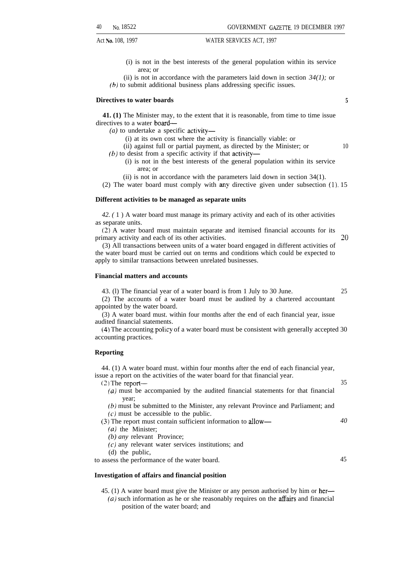(i) is not in the best interests of the general population within its service area; or

(ii) is not in accordance with the parameters laid down in section  $34(1)$ ; or (b) to submit additional business plans addressing specific issues.

#### **Directives to water boards 5**

**41. (1)** The Minister may, to the extent that it is reasonable, from time to time issue directives to a water board—

- *(a)* to undertake a specific activity—
	- (i) at its own cost where the activity is financially viable: or
	- (ii) against full or partial payment, as directed by the Minister; or
- (b) to desist from a specific activity if that activity—
	- (i) is not in the best interests of the general population within its service area; or
	- (ii) is not in accordance with the parameters laid down in section 34(1).
- (2) The water board must comply with any directive given under subsection (1). 15

#### **Different activities to be managed as separate units**

*42. (* 1 ) A water board must manage its primary activity and each of its other activities as separate units.

(2) A water board must maintain separate and itemised financial accounts for its  $p$ rimary activity and each of its other activities.  $20$ 

(3) All transactions between units of a water board engaged in different activities of the water board must be carried out on terms and conditions which could be expected to apply to similar transactions between unrelated businesses.

#### **Financial matters and accounts**

43. (l) The financial year of a water board is from 1 July to 30 June. 25

(2) The accounts of a water board must be audited by a chartered accountant appointed by the water board.

(3) A water board must. within four months after the end of each financial year, issue audited financial statements.

(4) The accounting policy of a water board must be consistent with generally accepted 30 accounting practices.

#### **Reporting**

44. (1) A water board must. within four months after the end of each financial year, issue a report on the activities of the water board for that financial year.

- (2) The report— 35
	- (a) must be accompanied by the audited financial statements for that financial year;

(b) must be submitted to the Minister, any relevant Province and Parliament; and  $(c)$  must be accessible to the public.

(3) The report must contain sufficient information to allow— *40*

- *(a)* the Minister;
- *(b) any* relevant Province;
- $(c)$  any relevant water services institutions; and

(d) the public,

to assess the performance of the water board. 45

#### **Investigation of affairs and financial position**

- 45. (1) A water board must give the Minister or any person authorised by him or her—
- $(a)$  such information as he or she reasonably requires on the affairs and financial position of the water board; and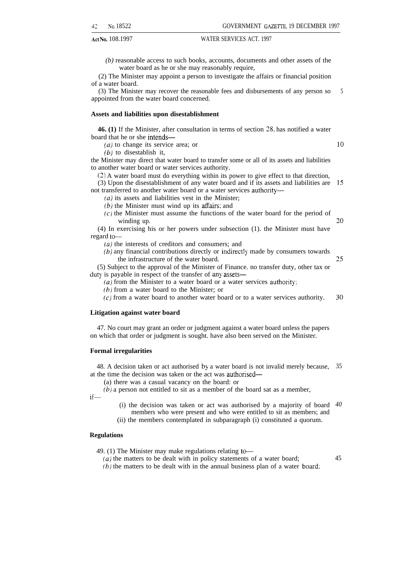*(b)* reasonable access to such books, accounts, documents and other assets of the water board as he or she may reasonably require,

(2) The Minister may appoint a person to investigate the affairs or financial position of a water board.

(3) The Minister may recover the reasonable fees and disbursements of any person so appointed from the water board concerned. 5

#### **Assets and liabilities upon disestablishment**

**46. (1)** If the Minister, after consultation in terms of section 28, has notified a water board that he or she intends—

*(a)* to change its service area; or

*(b)* to disestablish it,

the Minister may direct that water board to transfer some or all of its assets and liabilities to another water board or water services authority.

(2) A water board must do everything within its power to give effect to that direction,

(3) Upon the disestablishment of any water board and if its assets and liabilities are not transferred to another water board or a water services authority—

*(a)* its assets and liabilities vest in the Minister;

*(b)* the Minister must wind up its afhirs: and

 $(c)$  the Minister must assume the functions of the water board for the period of winding up.

(4) In exercising his or her powers under subsection (1). the Minister must have regard to-

*(a)* the interests of creditors and consumers; and

 $(b)$  any financial contributions directly or indirectly made by consumers towards the infrastructure of the water board.

(5) Subject to the approval of the Minister of Finance. no transfer duty, other tax or duty is payable in respect of the transfer of any assets—

 $(a)$  from the Minister to a water board or a water services authority;

*(b)* from a water board to the Minister; or

30 (c) from a water board to another water board or to a water services authority.

#### **Litigation against water board**

47. No court may grant an order or judgment against a water board unless the papers on which that order or judgment is sought. have also been served on the Minister.

#### **Formal irregularities**

48. A decision taken or act authorised by a water board is not invalid merely because, at the time the decision was taken or the act was authorised— 35

(a) there was a casual vacancy on the board: or

*(b)* a person not entitled to sit as a member of the board sat as a member,

if—

(i) the decision was taken or act was authorised by a majority of board *40* members who were present and who were entitled to sit as members; and

(ii) the members contemplated in subparagraph (i) constituted a quorum.

#### **Regulations**

49. (1) The Minister may make regulations relating to-

*(a)* the matters to be dealt with in policy statements of a water board;

*(b)* the matters to be dealt with in the annual business plan of a water board:

20

 $10$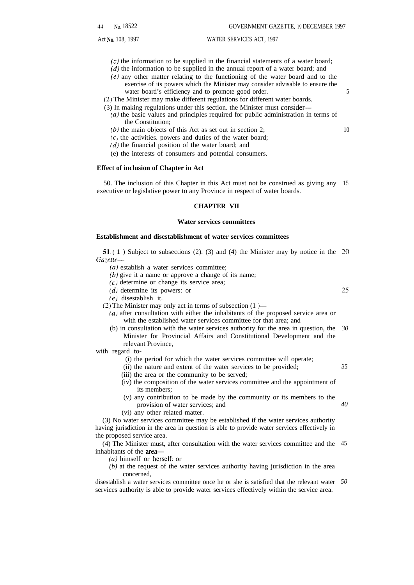- $(c)$  the information to be supplied in the financial statements of a water board;
- $(d)$  the information to be supplied in the annual report of a water board; and
- (e) any other matter relating to the functioning of the water board and to the exercise of its powers which the Minister may consider advisable to ensure the water board's efficiency and to promote good order.
- (2) The Minister may make different regulations for different water boards.
- (3) In making regulations under this section. the Minister must consider—
	- $(a)$  the basic values and principles required for public administration in terms of the Constitution;
	- (b) the main objects of this Act as set out in section 2;
	- $(c)$  the activities. powers and duties of the water board;
	- $(d)$  the financial position of the water board; and
	- (e) the interests of consumers and potential consumers.

#### **Effect of inclusion of Chapter in Act**

50. The inclusion of this Chapter in this Act must not be construed as giving any 15 executive or legislative power to any Province in respect of water boards.

#### **CHAPTER VII**

#### **Water services committees**

#### **Establishment and disestablishment of water services committees**

**31. (** 1 ) Subject to subsections (2). (3) and (4) the Minister may by notice in the **20** *Gacette—*

*(a)* establish a water services committee;

- $(b)$  give it a name or approve a change of its name;
- $(c)$  determine or change its service area;
- (d) determine its powers: or
- (e) disestablish it.
- (2) The Minister may only act in terms of subsection (1 )—
	- *(a)* after consultation with either the inhabitants of the proposed service area or with the established water services committee for that area; and
	- (b) in consultation with the water services authority for the area in question, the *30* Minister for Provincial Affairs and Constitutional Development and the relevant Province,

with regard to-

- (i) the period for which the water services committee will operate;
- (ii) the nature and extent of the water services to be provided;
- (iii) the area or the community to be served;
- (iv) the composition of the water services committee and the appointment of its members;
- (v) any contribution to be made by the community or its members to the provision of water services; and
- (vi) any other related matter.

(3) No water services committee may be established if the water services authority having jurisdiction in the area in question is able to provide water services effectively in the proposed service area.

(4) The Minister must, after consultation with the water services committee and the 45 inhabitants of the area—

 $(a)$  himself or herself; or

*(b)* at the request of the water services authority having jurisdiction in the area concerned,

disestablish a water services committee once he or she is satisfied that the relevant water *50*services authority is able to provide water services effectively within the service area.

*35*

25

*40*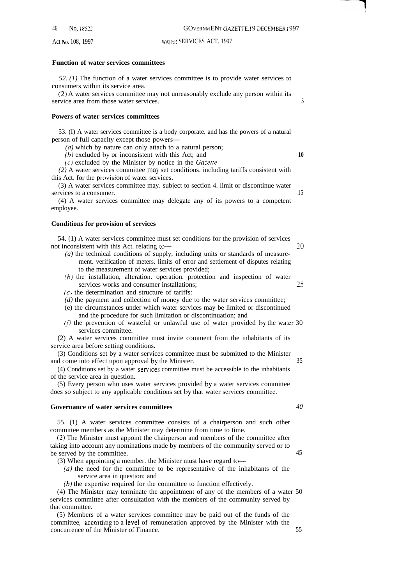46 No. 18522 GOVERNMENT GAZETTE. 19 DECEMBER 1997

#### Act No. 108, 1997 **14'ATER SERVICES ACT.** 1997

#### **Function of water services committees**

*52. (1)* The function of a water services committee is to provide water services to consumers within its service area.

(2) A water services committee may not unreasonably exclude any person within its service area from those water services. 5

#### **Powers of water services committees**

53. (I) A water services committee is a body corporate. and has the powers of a natural person of full capacity except those powers—

- *(a)* which by nature can only attach to a natural person;
- (b) excluded by or inconsistent with this Act; and **10**
- **(c)** excluded by the Minister by notice in the *Ga:efte.*

(2) A water services committee may set conditions. including tariffs consistent with this Act. for the provision of water services.

(3) A water services committee may. subject to section 4. limit or discontinue water services to a consumer. 15

(4) A water services committee may delegate any of its powers to a competent employee.

#### **Conditions for provision of services**

54. (1) A water services committee must set conditions for the provision of services not inconsistent with this Act. relating to – **?0** 

- *(a)* the technical conditions of supply, including units or standards of measurement. verification of meters. limits of error and settlement of disputes relating to the measurement of water services provided;
- *(b)* the installation, alteration. operation. protection and inspection of water services works and consumer installations; 25
- $(c)$  the determination and structure of tariffs:
- *(d)* the payment and collection of money due to the water services committee;
- (e) the circumstances under which water services may be limited or discontinued and the procedure for such limitation or discontinuation; and
- $(f)$  the prevention of wasteful or unlawful use of water provided by the water 30 services committee.

(2) A water services committee must invite comment from the inhabitants of its service area before setting conditions.

(3) Conditions set by a water services committee must be submitted to the Minister and come into effect upon approval by the Minister. 35

 $(4)$  Conditions set by a water services committee must be accessible to the inhabitants of the service area in question.

(5) Every person who uses water services provided by a water services committee does so subject to any applicable conditions set by that water services committee.

### **Governance of water services committees** *40*

55. (1) A water services committee consists of a chairperson and such other committee members as the Minister may determine from time to time.

(2) The Minister must appoint the chairperson and members of the committee after taking into account any nominations made by members of the community served or to be served by the committee. 45

- (3) When appointing a member. the Minister must have regard to
- *(a)* the need for the committee to be representative of the inhabitants of the service area in question; and
- (b) the expertise required for the committee to function effectively.

(4) The Minister may terminate the appointment of any of the members of a water 50 services committee after consultation with the members of the community served by that committee.

(5) Members of a water services committee may be paid out of the funds of the committee, according to a level of remuneration approved by the Minister with the concurrence of the Minister of Finance. 55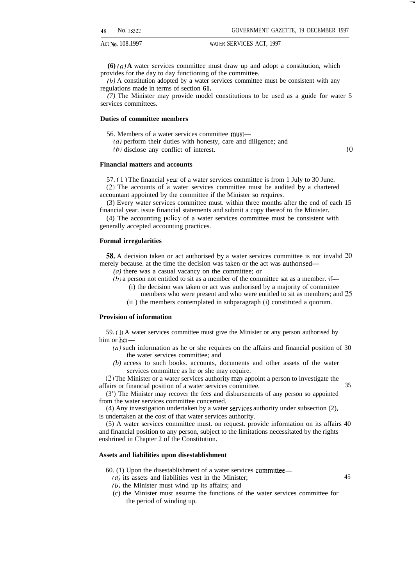**(6)** ( $a$ ) **A** water services committee must draw up and adopt a constitution, which provides for the day to day functioning of the committee.

(b) A constitution adopted by a water services committee must be consistent with any regulations made in terms of section **61.**

*(7)* The Minister may provide model constitutions to be used as a guide for water 5 services committees.

#### **Duties of committee members**

56. Members of a water services committee must—

(a) perform their duties with honesty, care and diligence; and

(b) disclose any conflict of interest.

 $10$ 

#### **Financial matters and accounts**

57. ( 1 ) The financial year of a water services committee is from 1 July to 30 June.

(2) The accounts of a water services committee must be audited by a chartered accountant appointed by the committee if the Minister so requires.

(3) Every water services committee must. within three months after the end of each 15 financial year. issue financial statements and submit a copy thereof to the Minister.

 $(4)$  The accounting policy of a water services committee must be consistent with generally accepted accounting practices.

#### **Formal irregularities**

58. A decision taken or act authorised by a water services committee is not invalid 20 merely because. at the time the decision was taken or the act was authonsed—

*(a)* there was a casual vacancy on the committee; or

- $(b)$  a person not entitled to sit as a member of the committee sat as a member. if—
	- (i) the decision was taken or act was authorised by a majority of committee
	- members who were present and who were entitled to sit as members; and 25
	- (ii ) the members contemplated in subparagraph (i) constituted a quorum.

#### **Provision of information**

59. (1 j A water services committee must give the Minister or any person authorised by him or her—

- *(a)* such information as he or she requires on the affairs and financial position of 30 the water services committee; and
- *(b)* access to such books. accounts, documents and other assets of the water services committee as he or she may require.

(2) The Minister or a water services authority may appoint a person to investigate the affairs or financial position of a water services committee. 35

(3') The Minister may recover the fees and disbursements of any person so appointed from the water services committee concerned.

(4) Any investigation undertaken by a water sewices authority under subsection (2), is undertaken at the cost of that water services authority.

(5) A water services committee must. on request. provide information on its affairs 40 and financial position to any person, subject to the limitations necessitated by the rights enshrined in Chapter 2 of the Constitution.

#### **Assets and liabilities upon disestablishment**

60. (1) Upon the disestablishment of a water services committee— *(a)* its assets and liabilities vest in the Minister; 45

- $(b)$  the Minister must wind up its affairs; and
- (c) the Minister must assume the functions of the water services committee for the period of winding up.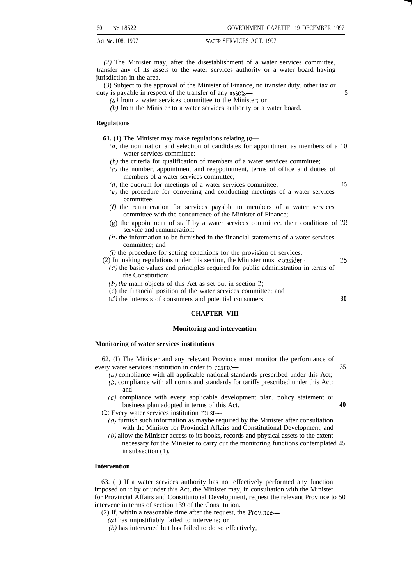Act No. 108, 1997 **READING MATER SERVICES ACT.** 1997

*(2)* The Minister may, after the disestablishment of a water services committee, transfer any of its assets to the water services authority or a water board having jurisdiction in the area.

(3) Subject to the approval of the Minister of Finance, no transfer duty. other tax or duty is payable in respect of the transfer of any assets— 5

(a) from a water services committee to the Minister; or

*(b)* from the Minister to a water services authority or a water board.

#### **Regulations**

**61.** (1) The Minister may make regulations relating to-

- *(a)* the nomination and selection of candidates for appointment as members of a 10 water services committee:
- *(b)* the criteria for qualification of members of a water services committee;
- $(c)$  the number, appointment and reappointment, terms of office and duties of members of a water services committee;
- *(d)* the quorum for meetings of a water services committee; 15
- $(e)$  the procedure for convening and conducting meetings of a water services committee;
- $(f)$  the remuneration for services payable to members of a water services committee with the concurrence of the Minister of Finance;
- (g) the appointment of staff by a water services committee. their conditions of 20 service and remuneration:
- $(h)$  the information to be furnished in the financial statements of a water services committee; and
- *(i)* the procedure for setting conditions for the provision of services,
- (2) In making regulations under this section, the Minister must consider— 25 *(a)* the basic values and principles required for public administration in terms of
	- the Constitution;
	- *(b) the* main objects of this Act as set out in section 2;
	- (c) the financial position of the water services committee; and
	- (d) the interests of consumers and potential consumers. **30**

#### **CHAPTER VIII**

#### **Monitoring and intervention**

#### **Monitoring of water services institutions**

62. (I) The Minister and any relevant Province must monitor the performance of every water services institution in order to ensure— 35

- $(a)$  compliance with all applicable national standards prescribed under this Act;
- (b) compliance with all norms and standards for tariffs prescribed under this Act: and
- (c) compliance with every applicable development plan. policy statement or business plan adopted in terms of this Act. **40**

**(2)** Every water services institution must—

- (a) furnish such information as maybe required by the Minister after consultation with the Minister for Provincial Affairs and Constitutional Development; and
- *(b)* allow the Minister access to its books, records and physical assets to the extent necessary for the Minister to carry out the monitoring functions contemplated 45 in subsection (1).

#### **Intervention**

63. (1) If a water services authority has not effectively performed any function imposed on it by or under this Act, the Minister may, in consultation with the Minister for Provincial Affairs and Constitutional Development, request the relevant Province to 50 intervene in terms of section 139 of the Constitution.

(2) If, within a reasonable time after the request, the Province—

- (a) has unjustifiably failed to intervene; or
- *(b)* has intervened but has failed to do so effectively,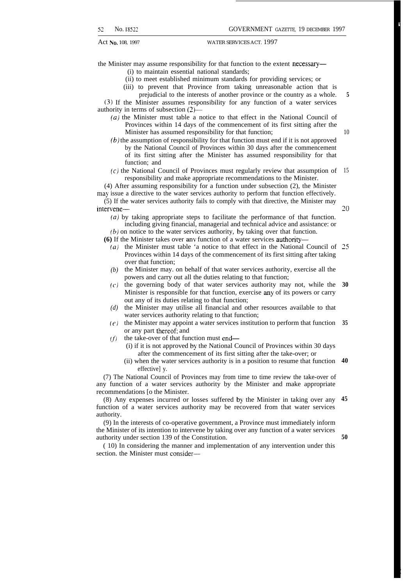я.

**5**

10

**20**

Act **No.** 108, 1997 WATER SERVICES ACT. 1997

the Minister may assume responsibility for that function to the extent necessary—

(i) to maintain essential national standards;

- (ii) to meet established minimum standards for providing services; or
- (iii) to prevent that Province from taking unreasonable action that is prejudicial to the interests of another province or the country as a whole.

(3) If the Minister assumes responsibility for any function of a water services authority in terms of subsection  $(2)$ –

- *(a)* the Minister must table a notice to that effect in the National Council of Provinces within 14 days of the commencement of its first sitting after the Minister has assumed responsibility for that function;
- $(b)$  the assumption of responsibility for that function must end if it is not approved by the National Council of Provinces within 30 days after the commencement of its first sitting after the Minister has assumed responsibility for that function; and
- $(c)$  the National Council of Provinces must regularly review that assumption of responsibility and make appropriate recommendations to the Minister. 15

(4) After assuming responsibility for a function under subsection (2), the Minister may issue a directive to the water services authority to perform that function effectively.

(5) If the water services authority fails to comply with that directive, the Minister may intervene—

(a) by taking appropriate steps to facilitate the performance of that function. including giving financial, managerial and technical advice and assistance: or (b) on notice to the water services authority, by taking over that function.

**(6)** If the Minister takes over any function of a water services authoritv— .

- **(a)** the Minister must table 'a notice to that effect in the National Council of **25** Provinces within 14 days of the commencement of its first sitting after taking over that function;
- *(b)* the Minister may. on behalf of that water services authority, exercise all the powers and carry out all the duties relating to that function;
- *(c)* the governing body of that water services authority may not, while the Minister is responsible for that function, exercise any of its powers or carry out any of its duties relating to that function; **30**
- *(d)* the Minister may utilise all financial and other resources available to that water services authority relating to that function;
- *(e)* the Minister may appoint a water services institution to perform that function **35** or any part thereof; and
- $(f)$  the take-over of that function must end—
	- (i) if it is not approved by the National Council of Provinces within 30 days after the commencement of its first sitting after the take-over; or
	- (ii) when the water services authority is in a position to resume that function **40** effective] y.

(7) The National Council of Provinces may from time to time review the take-over of any function of a water services authority by the Minister and make appropriate recommendations [o the Minister.

(8) Any expenses incurred or losses suffered by the Minister in taking over any **45** function of a water services authority may be recovered from that water services authority.

(9) In the interests of co-operative government, a Province must immediately inform the Minister of its intention to intervene by taking over any function of a water services authority under section 139 of the Constitution.

( 10) In considering the manner and implementation of any intervention under this section. the Minister must consider—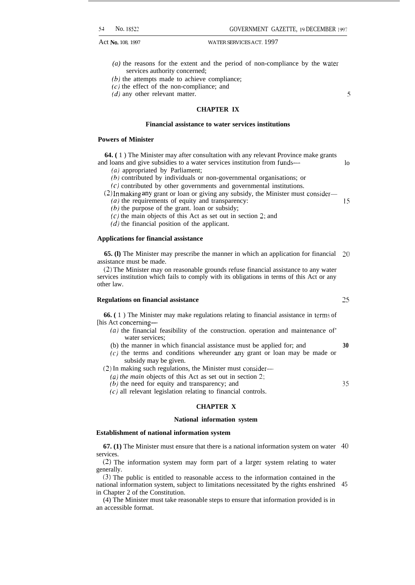- *(a)* the reasons for the extent and the period of non-compliance by the water services authority concerned;
- $(b)$  the attempts made to achieve compliance;
- $(c)$  the effect of the non-compliance; and
- $(d)$  any other relevant matter.

#### **CHAPTER IX**

#### **Financial assistance to water services institutions**

#### **Powers of Minister**

**64. (** 1 ) The Minister may after consultation with any relevant Province make grants and loans and give subsidies to a water services institution from funds—

(*a*) appropriated by Parliament;

(b) contributed by individuals or non-governmental organisations; or

(c) contributed by other governments and governmental institutions.

 $(2)$  In making any grant or loan or giving any subsidy, the Minister must consider— *(a)* the requirements of equity and transparency:

 $(b)$  the purpose of the grant. loan or subsidy;

 $(c)$  the main objects of this Act as set out in section 2; and

 $(d)$  the financial position of the applicant.

#### **Applications for financial assistance**

**65. (1)** The Minister may prescribe the manner in which an application for financial 20 assistance must be made.

(2) The Minister may on reasonable grounds refuse financial assistance to any water services institution which fails to comply with its obligations in terms of this Act or any other law.

#### **Regulations on financial assistance**

**66.** (1) The Minister may make regulations relating to financial assistance in terms of [his Act conceming—

- $(a)$  the financial feasibility of the construction. operation and maintenance of water services;
- (b) the manner in which financial assistance must be applied for; and **30**
- (c) the terms and conditions whereunder any grant or loan may be made or subsidy may be given.

(2) In making such regulations, the Minister must consider—

*(a) the main* objects of this Act as set out in section 2;

(b) the need for equity and transparency; and

 $(c)$  all relevant legislation relating to financial controls.

#### **CHAPTER X**

#### **National information system**

#### **Establishment of national information system**

**67. (1)** The Minister must ensure that there is a national information system on water 40 services.

 $(2)$  The information system may form part of a larger system relating to water generally.

(3) The public is entitled to reasonable access to the information contained in the national information system, subject to limitations necessitated by the rights enshrined in Chapter 2 of the Constitution. 45

(4) The Minister must take reasonable steps to ensure that information provided is in an accessible format.

25

**35**

lo

 $\varsigma$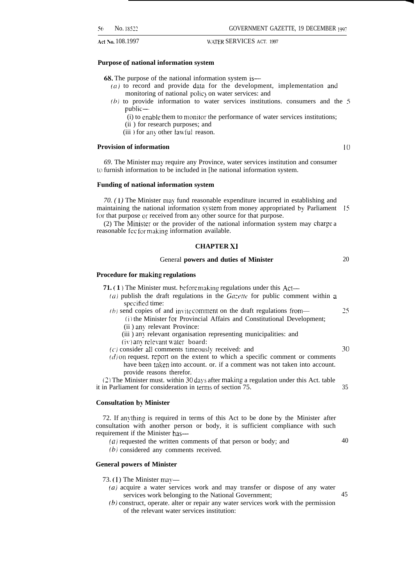#### **Purpose of national information system**

68. The purpose of the national information system is—

- $(a)$  to record and provide data for the development, implementation and monitoring of national polic} on water services: and
- (b) to provide information to water services institutions. consumers and the 5 public—
	- $(i)$  to enable them to monitor the performance of water services institutions;
	- (ii ) for research purposes; and
	- (iii) for any other lawful reason.

#### **Provision of information 10**

*69.* The Minister may require any Province, water services institution and consumer to furnish information to be included in [he national information system.

#### **Funding of national information system**

70. (1) The Minister may fund reasonable expenditure incurred in establishing and maintaining the national information system from money appropriated by Parliament for that purpose or received from any other source for that purpose.

(2) The Minister or the provider of the national information system may charge a reasonable fee for making information available.

#### **CHAPTER Xl**

#### General **powers and duties of Minister**

#### **Procedure for making regulations**

- **71. ( 1 )** The Minister must. before making regulations under this Act—
	- ( $a$ ) publish the draft regulations in the Gazette for public comment within a specified time:
	- (b) send copies of and invite comment on the draft regulations from—  $25$ (i) the Minister for Provincial Affairs and Constitutional Development;
		- (ii) any relevant Province:
		- (iii) any relevant organisation representing municipalities: and
		- (iv) any relevant water board:
	- $(c)$  consider all comments timeously received: and
	- $(d)$  on request. report on the extent to which a specific comment or comments have been taken into account. or. if a comment was not taken into account. provide reasons therefor.

 $(2)$  The Minister must. within 30 days after making a regulation under this Act. table it in Parliament for consideration in terms of section 75. 35

#### **Consultation by Minister**

72. If anything is required in terms of this Act to be done by the Minister after consultation with another person or body, it is sufficient compliance with such requirement if the Minister has—

- $(a)$  requested the written comments of that person or body; and
- (b) considered any comments received.

#### **General powers of Minister**

73. (1) The Minister may—

- *(a)* acquire a water services work and may transfer or dispose of any water services work belonging to the National Government; 45
- (b) construct, operate. alter or repair any water services work with the permission of the relevant water services institution:

20

30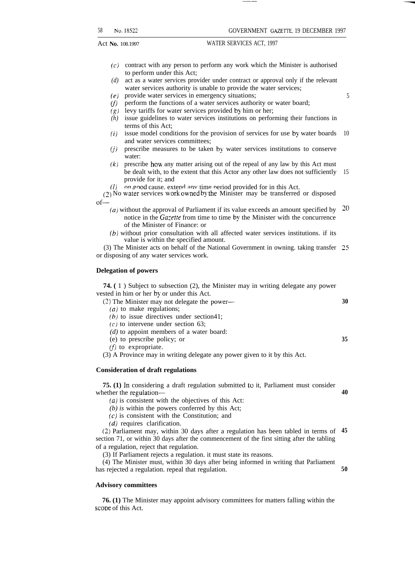- *(c)* contract with any person to perform any work which the Minister is authorised to perform under this Act;
- *(d)* act as a water services provider under contract or approval only if the relevant water services authority is unable to provide the water services;
- *(e)* provide water services in emergency situations;
- *(/7* perform the functions of a water services authority or water board;
- *(s)* levy tariffs for water services provided by him or her;
- *(h)* issue guidelines to water services institutions on performing their functions in terms of this Act;
- *(i)* issue model conditions for the provision of services for use by water boards and water services committees; 10
- *(j)* prescribe measures to be taken by water services institutions to conserve water:
- *(k)* prescribe how any matter arising out of the repeal of any law by this Act must be dealt with, to the extent that this Actor any other law does not sufficiently provide for it; and 15
- on good cause. extend any time period provided for in this Act.

(1) on good cause, extend any time period provided for in this Act.<br>(2) No water services work owned by the Minister may be transferred or disposed of—

- *(a)* without the approval of Parliament if its value exceeds an amount specified by notice in the *Gazette* from time to time by the Minister with the concurrence of the Minister of Finance: or Z()
- *(b)* without prior consultation with all affected water services institutions. if its value is within the specified amount.

(3) The Minister acts on behalf of the National Government in owning. taking transfer 25 or disposing of any water services work.

#### **Delegation of powers**

**74. (** 1 ) Subject to subsection (2), the Minister may in writing delegate any power vested in him or her by or under this Act.

(2) The Minister may not delegate the power-

 $(a)$  to make regulations;

 $(b)$  to issue directives under section 41;

 $(c)$  to intervene under section 63;

- *(d)* to appoint members of a water board:
- (e) to prescribe policy; or
- $(f)$  to expropriate.

(3) A Province may in writing delegate any power given to it by this Act.

#### **Consideration of draft regulations**

**75. (1)** In considering a draft regulation submitted to it, Parliament must consider whether the regulation—

*(a)* is consistent with the objectives of this Act:

*(b) is* within the powers conferred by this Act;

 $(c)$  is consistent with the Constitution; and

(d) requires clarification.

(2) Parliament may, within 30 days after a regulation has been tabled in terms of **45** section 71, or within 30 days after the commencement of the first sitting after the tabling of a regulation, reject that regulation.

(3) If Parliament rejects a regulation. it must state its reasons.

(4) The Minister must, within 30 days after being informed in writing that Parliament has rejected a regulation. repeal that regulation. **50**

#### **Advisory committees**

**76. (1)** The Minister may appoint advisory committees for matters falling within the scope of this Act.

**30**

**35**

**40**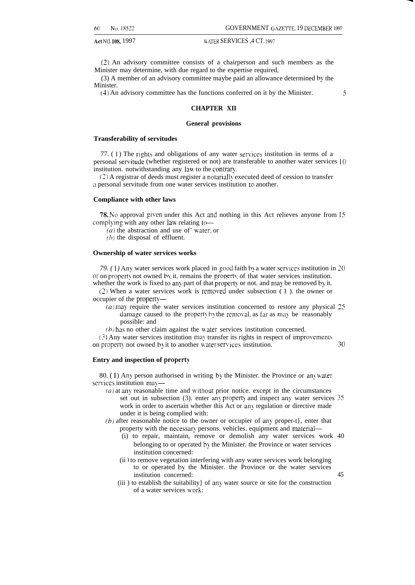Act N(l. 108, 1997 WATER SERVICES ,4 CT. 1997

(2) An advisory committee consists of a chairperson and such members as the Minister may determine, with due regard to the expertise required,

(3) A member of an advisory committee maybe paid an allowance determined by the Minister.

(4) An advisory committee has the functions conferred on it by the Minister. 5

#### **CHAPTER XII**

#### **General provisions**

#### **Transferability of servitudes**

77. (1) The rights and obligations of any water services institution in terms of a personal servitude (whether registered or not) are transferable to another water services 10 institution. notwithstanding any law to the contrary.

(2) A registrar of deeds must register a notarially executed deed of cession to transfer a personal servitude from one water services institution to another.

#### **Compliance with other laws**

78. No approval given under this Act and nothing in this Act relieves anyone from 15 complying with any other law relating to-

 $(a)$  the abstraction and use of' water; or

 $(h)$  the disposal of effluent.

#### **Ownership of water services works**

79. (1) Any water services work placed in good faith by a water services institution in 20 or on property not owned by it. remains the property of that water services institution. whether the work is fixed to any part of that property or not. and may be removed by it.

 $(2)$  When a water services work is removed under subsection ( 1). the owner or occupier of the property—

- $(a)$  may require the water services institution concerned to restore any physical  $25$ damage caused to the property by the removal, as far as may be reasonably possible: and
- $(b)$  has no other claim against the water services institution concerned.

 $(3)$  Any water services institution may transfer its rights in respect of improvements on property not owned by it to another water services institution. 30

#### Entry and inspection of property

80. (1) Any person authorised in writing by the Minister. the Province or anywater services institution may-

- $(a)$  at any reasonable time and without prior notice. except in the circumstances set out in subsection  $(3)$ . enter any property and inspect any water services  $35$ work in order to ascertain whether this Act or any regulation or directive made under it is being complied with:
- (b) after reasonable notice to the owner or occupier of any proper-t}, enter that property with the necessary persons. vehicles. equipment and material-
	- (i) to repair, maintain, remove or demolish any water services work 40 belonging to or operated by the Minister. the Province or water services institution concerned:
	- (ii ) to remove vegetation interfering with any water services work belonging to or operated by the Minister. the Province or the water services institution concerned: 45
	- (iii ) to establish the suitability} of any water source or site for the construction of a water services work: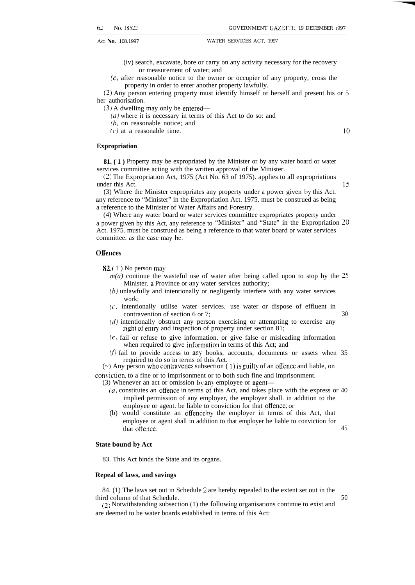- (iv) search, excavate, bore or carry on any activity necessary for the recovery or measurement of water; and
- (c) after reasonable notice to the owner or occupier of any property, cross the property in order to enter another property lawfully.

(2) Any person entering property must identify himself or herself and present his or 5 her authorisation.

(3) A dwelling may only be entered—

 $(a)$  where it is necessary in terms of this Act to do so: and

 $(b)$  on reasonable notice; and

 $(c)$  at a reasonable time.

**Expropriation**

**81. (1)** Property may be expropriated by the Minister or by any water board or water services committee acting with the written approval of the Minister.

[2) The Expropriation Act, 1975 (Act No. 63 of 1975). applies to all expropriations under this Act. [15] 15

(3) Where the Minister expropriates any property under a power given by this Act. any reference to "Minister" in the Expropriation Act. 1975. must be construed as being a reference to the Minister of Water Affairs and Forestry.

(4) Where any water board or water services committee expropriates property under a power given by this Act, any reference to "Minister" and "State" in the Expropriation 20 Act. 1975. must be construed as being a reference to that water board or water services committee. as the case may be.

#### **Offences**

**82.** (1) No person may—

- $m(a)$  continue the wasteful use of water after being called upon to stop by the 25 Minister. a Province or any water services authority;
- (b) unlawfully and intentionally or negligently interfere with any water services work;
- $(c)$  intentionally utilise water services, use water or dispose of effluent in contravention of section 6 or 7; 30
- (d) intentionally obstruct any person exercising or attempting to exercise any right of entry and inspection of property under section 81;
- $(e)$  fail or refuse to give information, or give false or misleading information when required to give information in terms of this Act; and
- $(f)$  fail to provide access to any books, accounts, documents or assets when 35 required to do so in terms of this Act.

 $(\sim)$  Any person who contravenes subsection (1) is guilty of an offence and liable, on

conviction. to a fine or to imprisonment or to both such fine and imprisonment.

- (3) Whenever an act or omission by any employee or agent—
	- $(a)$  constitutes an offence in terms of this Act, and takes place with the express or 40 implied permission of any employer, the employer shall. in addition to the employee or agent. be liable to conviction for that offence; or
	- (b) would constitute an offence b) the employer in terms of this Act, that employee or agent shall in addition to that employer be liable to conviction for that offence. 45

#### **State bound by Act**

83. This Act binds the State and its organs.

#### **Repeal of laws, and savings**

84. (1) The laws set out in Schedule 2 are hereby repealed to the extent set out in the third column of that Schedule. 50

 $(2)$  Notwithstanding subsection (1) the following organisations continue to exist and are deemed to be water boards established in terms of this Act: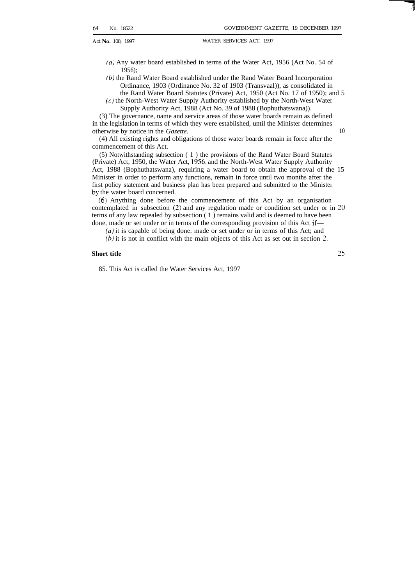- (a) Any water board established in terms of the Water Act, 1956 (Act No. 54 of 1956);
- (b) the Rand Water Board established under the Rand Water Board Incorporation Ordinance, 1903 (Ordinance No. 32 of 1903 (Transvaal)), as consolidated in the Rand Water Board Statutes (Private) Act, 1950 (Act No. 17 of 1950); and 5
- (c) the North-West Water Supply Authority established by the North-West Water Supply Authority Act, 1988 (Act No. 39 of 1988 (Bophuthatswana)).

(3) The governance, name and service areas of those water boards remain as defined in the legislation in terms of which they were established, until the Minister determines otherwise by notice in the *Gazette.* 10

(4) All existing rights and obligations of those water boards remain in force after the commencement of this Act.

(5) Notwithstanding subsection ( 1 ) the provisions of the Rand Water Board Statutes (Private) Act, 1950, the Water Act, 1956, and the North-West Water Supply Authority Act, 1988 (Bophuthatswana), requiring a water board to obtain the approval of the 15 Minister in order to perform any functions, remain in force until two months after the first policy statement and business plan has been prepared and submitted to the Minister by the water board concerned.

(6) Anything done before the commencement of this Act by an organisation contemplated in subsection (2) and any regulation made or condition set under or in 20 terms of any law repealed by subsection ( 1 ) remains valid and is deemed to have been done, made or set under or in terms of the corresponding provision of this Act if—

*(a)* it is capable of being done. made or set under or in terms of this Act; and

(b) it is not in conflict with the main objects of this Act as set out in section 2.

### **Short title <sup>25</sup>**

85. This Act is called the Water Services Act, 1997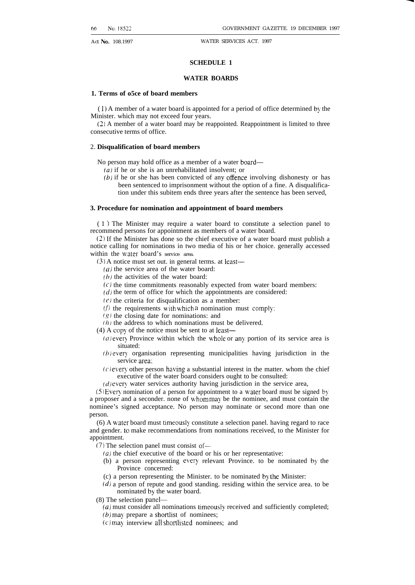#### **SCHEDULE 1**

#### **WATER BOARDS**

#### **1. Terms of o5ce of board members**

 $(1)$  A member of a water board is appointed for a period of office determined by the Minister. which may not exceed four years.

(2) A member of a water board may be reappointed. Reappointment is limited to three consecutive terms of office.

#### 2. **Disqualification of board members**

No person may hold office as a member of a water board—

*(a)* if he or she is an unrehabilitated insolvent; or

 $(b)$  if he or she has been convicted of any offence involving dishonesty or has been sentenced to imprisonment without the option of a fine. A disqualification under this subitem ends three years after the sentence has been served,

#### **3. Procedure for nomination and appointment of board members**

( 1 ) The Minister may require a water board to constitute a selection panel to recommend persons for appointment as members of a water board.

(2) If the Minister has done so the chief executive of a water board must publish a notice calling for nominations in two media of his or her choice. generally accessed within the water board's service area.

(3) A notice must set out. in general terms. at least—

- $(a)$  the service area of the water board:
- $(b)$  the activities of the water board:
- $(c)$  the time commitments reasonably expected from water board members:
- $(d)$  the term of office for which the appointments are considered:
- $(e)$  the criteria for disqualification as a member:
- (f) the requirements with which a nomination must comply;
- $(g)$  the closing date for nominations: and
- $(h)$  the address to which nominations must be delivered.
- (4) A copy of the notice must be sent to at least—
	- ( $a$ ) every Province within which the whole or any portion of its service area is situated:
	- $(b)$  every organisation representing municipalities having jurisdiction in the service area:
	- $(c)$  every other person having a substantial interest in the matter. whom the chief executive of the water board considers ought to be consulted:
	- $(d)$  every water services authority having jurisdiction in the service area,

 $(5)$  Every nomination of a person for appointment to a water board must be signed by a proposer and a seconder. none of vhom may be the nominee, and must contain the nominee's signed acceptance. No person may nominate or second more than one person.

(6) A water board must timeousl! constitute a selection panel. having regard to race and gender. to make recommendations from nominations received, to the Minister for appointment.

(7) The selection panel must consist of—

- $(a)$  the chief executive of the board or his or her representative:
- (b) a person representing every relevant Province. to be nominated by the Province concerned:
- (c) a person representing the Minister. to be nominated b) the Minister:
- $(d)$  a person of repute and good standing. residing within the service area. to be nominated by the water board.
- (8) The selection panel—
	- *(a)* must consider all nominations timeously received and sufficiently completed;
	- $(b)$  may prepare a shortlist of nominees;
	- (c] may interview all shortlisted nominees; and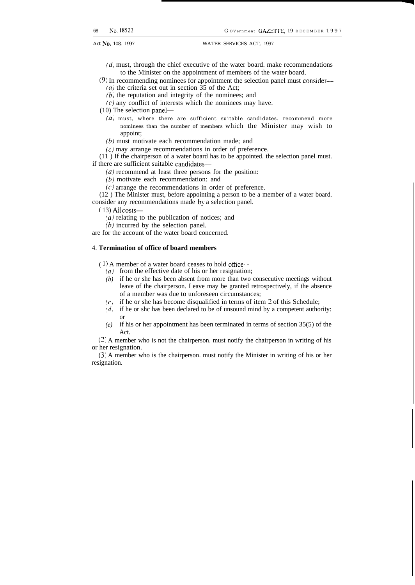- $(d)$  must, through the chief executive of the water board. make recommendations to the Minister on the appointment of members of the water board.
- (9) In recommending nominees for appointment the selection panel must consider— (*a*) the criteria set out in section  $35$  of the Act;
	- $(b)$  the reputation and integrity of the nominees; and
	- $(c)$  any conflict of interests which the nominees may have.

(10) The selection panel—

- *(a)* must, where there are sufficient suitable candidates. recommend more nominees than the number of members which the Minister may wish to appoint;
- (b) must motivate each recommendation made; and
- $(c)$  may arrange recommendations in order of preference.

(11 ) If the chairperson of a water board has to be appointed. the selection panel must. if there are sufficient suitable candidates—

 $(a)$  recommend at least three persons for the position:

(b) motivate each recommendation: and

(c) arrange the recommendations in order of preference.

(12 ) The Minister must, before appointing a person to be a member of a water board. consider any recommendations made by a selection panel.

 $(13)$  Allcosts-

*(a)* relating to the publication of notices; and

(b) incurred by the selection panel.

are for the account of the water board concerned.

#### 4. **Termination of office of board members**

 $(1)$  A member of a water board ceases to hold office—

- *(a)* from the effective date of his or her resignation;
- *(b)* if he or she has been absent from more than two consecutive meetings without leave of the chairperson. Leave may be granted retrospectively, if the absence of a member was due to unforeseen circumstances;
- *(c)* if he or she has become disqualified in terms of item 2 of this Schedule;
- *(d)* if he or shc has been declared to be of unsound mind by a competent authority: or
- *(e)* if his or her appointment has been terminated in terms of section 35(5) of the Act.

(2) A member who is not the chairperson. must notify the chairperson in writing of his or her resignation.

(3) A member who is the chairperson. must notify the Minister in writing of his or her resignation.